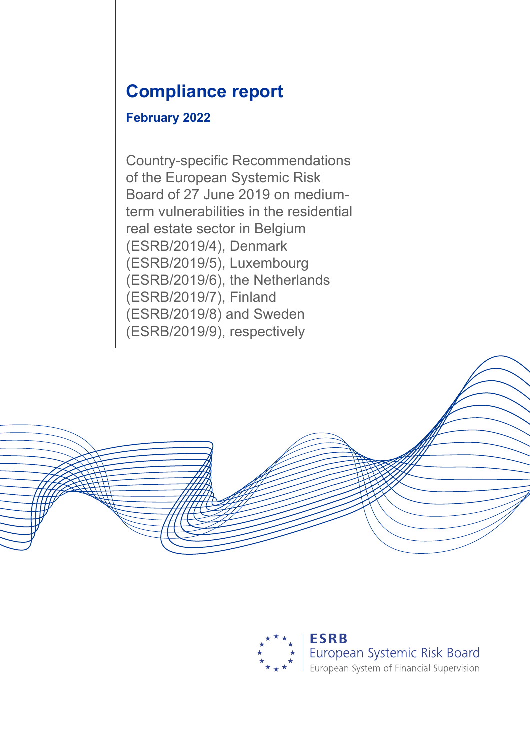# **Compliance report**

## **February 2022**

Country-specific Recommendations of the European Systemic Risk Board of 27 June 2019 on mediumterm vulnerabilities in the residential real estate sector in Belgium (ESRB/2019/4), Denmark (ESRB/2019/5), Luxembourg (ESRB/2019/6), the Netherlands (ESRB/2019/7), Finland (ESRB/2019/8) and Sweden (ESRB/2019/9), respectively

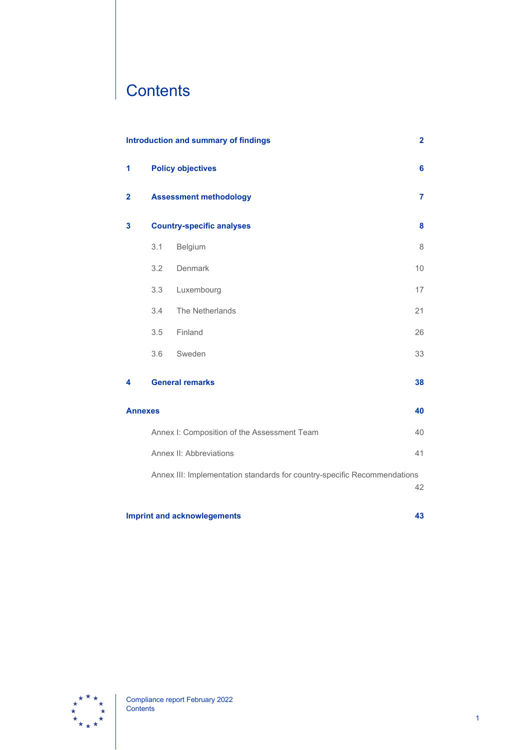# **Contents**

|                                          | <b>Introduction and summary of findings</b>                                    |                                             |    |  |  |  |
|------------------------------------------|--------------------------------------------------------------------------------|---------------------------------------------|----|--|--|--|
| 1                                        |                                                                                | <b>Policy objectives</b>                    | 6  |  |  |  |
| $\mathbf{2}$                             |                                                                                | <b>Assessment methodology</b>               | 7  |  |  |  |
| 3                                        |                                                                                | <b>Country-specific analyses</b>            | 8  |  |  |  |
|                                          | 3.1                                                                            | Belgium                                     | 8  |  |  |  |
|                                          | 3.2                                                                            | Denmark                                     | 10 |  |  |  |
|                                          | 3.3                                                                            | Luxembourg                                  | 17 |  |  |  |
|                                          | 3.4                                                                            | The Netherlands                             | 21 |  |  |  |
|                                          | 3.5                                                                            | Finland                                     | 26 |  |  |  |
|                                          | 3.6                                                                            | Sweden                                      | 33 |  |  |  |
| 4                                        |                                                                                | <b>General remarks</b>                      | 38 |  |  |  |
| <b>Annexes</b>                           |                                                                                |                                             | 40 |  |  |  |
|                                          |                                                                                | Annex I: Composition of the Assessment Team | 40 |  |  |  |
|                                          |                                                                                | Annex II: Abbreviations                     | 41 |  |  |  |
|                                          | Annex III: Implementation standards for country-specific Recommendations<br>42 |                                             |    |  |  |  |
| <b>Imprint and acknowlegements</b><br>43 |                                                                                |                                             |    |  |  |  |

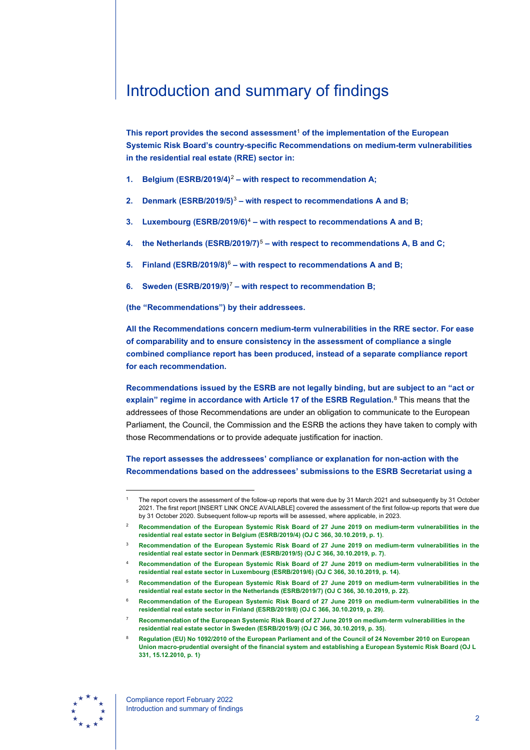# <span id="page-2-0"></span>Introduction and summary of findings

**This report provides the second assessment**[1](#page-2-1) **of the implementation of the European Systemic Risk Board's country-specific Recommendations on medium-term vulnerabilities in the residential real estate (RRE) sector in:**

- **1. Belgium (ESRB/2019/4)**[2](#page-2-2) **– with respect to recommendation A;**
- **2. Denmark (ESRB/2019/5)**[3](#page-2-3) **– with respect to recommendations A and B;**
- **3. Luxembourg (ESRB/2019/6)**[4](#page-2-4) **– with respect to recommendations A and B;**
- **4. the Netherlands (ESRB/2019/7)**[5](#page-2-5) **– with respect to recommendations A, B and C;**
- **5. Finland (ESRB/2019/8)**[6](#page-2-6) **– with respect to recommendations A and B;**
- **6. Sweden (ESRB/2019/9)**[7](#page-2-7) **– with respect to recommendation B;**

**(the "Recommendations") by their addressees.**

**All the Recommendations concern medium-term vulnerabilities in the RRE sector. For ease of comparability and to ensure consistency in the assessment of compliance a single combined compliance report has been produced, instead of a separate compliance report for each recommendation.**

**Recommendations issued by the ESRB are not legally binding, but are subject to an "act or explain" regime in accordance with Article 17 of the ESRB Regulation.**[8](#page-2-8) This means that the addressees of those Recommendations are under an obligation to communicate to the European Parliament, the Council, the Commission and the ESRB the actions they have taken to comply with those Recommendations or to provide adequate justification for inaction.

**The report assesses the addressees' compliance or explanation for non-action with the Recommendations based on the addressees' submissions to the ESRB Secretariat using a** 

- <span id="page-2-5"></span><span id="page-2-4"></span><sup>5</sup> **[Recommendation of the European Systemic Risk Board of 27 June 2019 on medium-term vulnerabilities in the](https://eur-lex.europa.eu/legal-content/EN/TXT/?uri=CELEX%3A32019Y1030%2804%29&qid=1639742583312)  [residential real estate sector in the Netherlands \(ESRB/2019/7\) \(OJ C 366, 30.10.2019, p. 22\)](https://eur-lex.europa.eu/legal-content/EN/TXT/?uri=CELEX%3A32019Y1030%2804%29&qid=1639742583312)**.
- <sup>6</sup> **[Recommendation of the European Systemic Risk Board of 27 June 2019 on medium-term vulnerabilities in the](https://eur-lex.europa.eu/legal-content/EN/TXT/?uri=CELEX%3A32019Y1030%2805%29&qid=1639742669959)  [residential real estate sector in Finland \(ESRB/2019/8\) \(OJ C 366, 30.10.2019, p. 29\)](https://eur-lex.europa.eu/legal-content/EN/TXT/?uri=CELEX%3A32019Y1030%2805%29&qid=1639742669959)**.
- <sup>7</sup> **[Recommendation of the European Systemic Risk Board of 27 June 2019 on medium-term vulnerabilities in the](https://eur-lex.europa.eu/legal-content/EN/TXT/?uri=CELEX%3A32019Y1030%2806%29&qid=1639742710889)  [residential real estate sector in Sweden \(ESRB/2019/9\) \(OJ C 366, 30.10.2019, p. 35\)](https://eur-lex.europa.eu/legal-content/EN/TXT/?uri=CELEX%3A32019Y1030%2806%29&qid=1639742710889)**.
- <sup>8</sup> **[Regulation \(EU\) No 1092/2010 of the European Parliament and of the Council of 24 November 2010 on European](http://data.europa.eu/eli/reg/2010/1092/oj)  [Union macro-prudential oversight of the financial system and establishing a European Systemic Risk Board \(OJ L](http://data.europa.eu/eli/reg/2010/1092/oj)  [331, 15.12.2010, p. 1\)](http://data.europa.eu/eli/reg/2010/1092/oj)**.

<span id="page-2-8"></span><span id="page-2-7"></span><span id="page-2-6"></span>

<span id="page-2-1"></span>The report covers the assessment of the follow-up reports that were due by 31 March 2021 and subsequently by 31 October 2021. The first report [INSERT LINK ONCE AVAILABLE] covered the assessment of the first follow-up reports that were due by 31 October 2020. Subsequent follow-up reports will be assessed, where applicable, in 2023.

<span id="page-2-2"></span><sup>2</sup> **[Recommendation of the European Systemic Risk Board of 27 June 2019 on medium-term vulnerabilities in the](https://eur-lex.europa.eu/legal-content/EN/TXT/?uri=CELEX%3A32019Y1030%2801%29&qid=1639742284272)  [residential real estate sector in Belgium \(ESRB/2019/4\) \(OJ C 366, 30.10.2019, p. 1\)](https://eur-lex.europa.eu/legal-content/EN/TXT/?uri=CELEX%3A32019Y1030%2801%29&qid=1639742284272)**.

<span id="page-2-3"></span><sup>3</sup> **[Recommendation of the European Systemic Risk Board of 27 June 2019 on medium-term vulnerabilities in the](https://eur-lex.europa.eu/legal-content/EN/TXT/?uri=CELEX%3A32019Y1030%2802%29&qid=1639742366656)  [residential real estate sector in Denmark \(ESRB/2019/5\) \(OJ C 366, 30.10.2019, p. 7\)](https://eur-lex.europa.eu/legal-content/EN/TXT/?uri=CELEX%3A32019Y1030%2802%29&qid=1639742366656)**.

<sup>4</sup> **[Recommendation of the European Systemic Risk Board of 27 June 2019 on medium-term vulnerabilities in the](https://eur-lex.europa.eu/legal-content/EN/TXT/?uri=CELEX%3A32019Y1030%2803%29&qid=1639742487640)  [residential real estate sector in Luxembourg \(ESRB/2019/6\) \(OJ C 366, 30.10.2019, p. 14\)](https://eur-lex.europa.eu/legal-content/EN/TXT/?uri=CELEX%3A32019Y1030%2803%29&qid=1639742487640)**.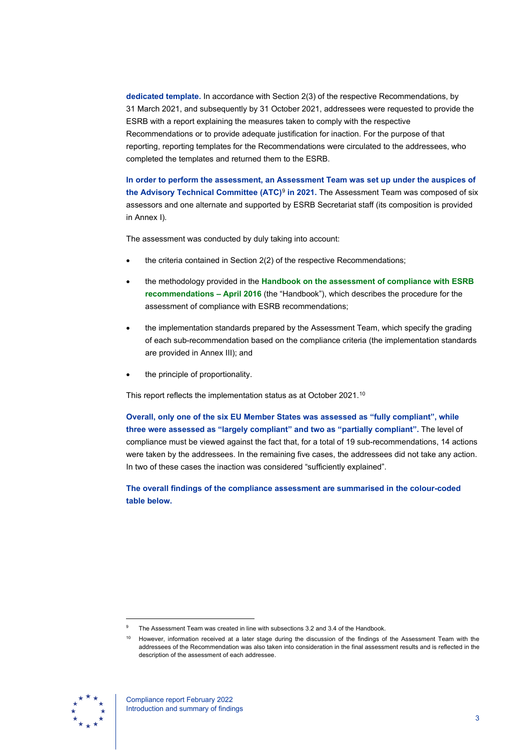**dedicated template.** In accordance with Section 2(3) of the respective Recommendations, by 31 March 2021, and subsequently by 31 October 2021, addressees were requested to provide the ESRB with a report explaining the measures taken to comply with the respective Recommendations or to provide adequate justification for inaction. For the purpose of that reporting, reporting templates for the Recommendations were circulated to the addressees, who completed the templates and returned them to the ESRB.

**In order to perform the assessment, an Assessment Team was set up under the auspices of the Advisory Technical Committee (ATC)**[9](#page-3-0) **in 2021.** The Assessment Team was composed of six assessors and one alternate and supported by ESRB Secretariat staff (its composition is provided in Annex I).

The assessment was conducted by duly taking into account:

- the criteria contained in Section 2(2) of the respective Recommendations;
- the methodology provided in the **[Handbook on the assessment of compliance with ESRB](https://www.esrb.europa.eu/pub/pdf/recommendations/160502_handbook.en.pdf)  [recommendations –](https://www.esrb.europa.eu/pub/pdf/recommendations/160502_handbook.en.pdf) April 2016** (the "Handbook"), which describes the procedure for the assessment of compliance with ESRB recommendations;
- the implementation standards prepared by the Assessment Team, which specify the grading of each sub-recommendation based on the compliance criteria (the implementation standards are provided in Annex III); and
- the principle of proportionality.

This report reflects the implementation status as at October 2021.<sup>10</sup>

**Overall, only one of the six EU Member States was assessed as "fully compliant", while three were assessed as "largely compliant" and two as "partially compliant".** The level of compliance must be viewed against the fact that, for a total of 19 sub-recommendations, 14 actions were taken by the addressees. In the remaining five cases, the addressees did not take any action. In two of these cases the inaction was considered "sufficiently explained".

**The overall findings of the compliance assessment are summarised in the colour-coded table below.**

<span id="page-3-1"></span><span id="page-3-0"></span>However, information received at a later stage during the discussion of the findings of the Assessment Team with the addressees of the Recommendation was also taken into consideration in the final assessment results and is reflected in the description of the assessment of each addressee.



The Assessment Team was created in line with subsections 3.2 and 3.4 of the Handbook.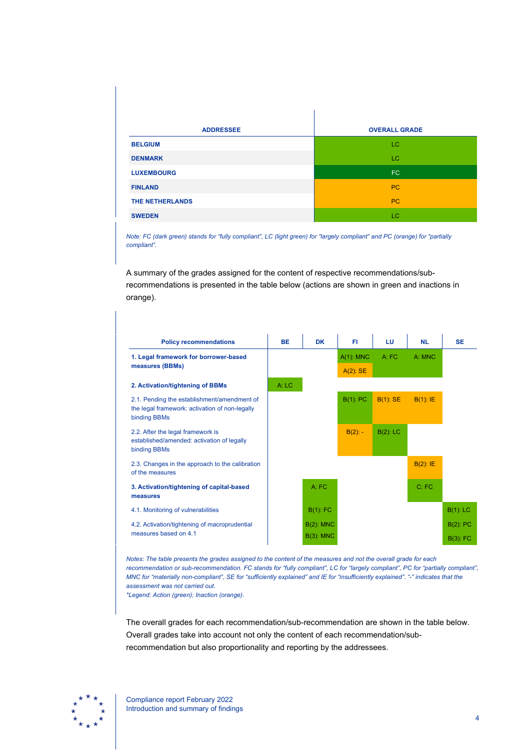| <b>ADDRESSEE</b>  | <b>OVERALL GRADE</b> |
|-------------------|----------------------|
| <b>BELGIUM</b>    | LC.                  |
| <b>DENMARK</b>    | LC.                  |
| <b>LUXEMBOURG</b> | FC.                  |
| <b>FINLAND</b>    | PC                   |
| THE NETHERLANDS   | PC                   |
| <b>SWEDEN</b>     | LC.                  |

*Note: FC (dark green) stands for "fully compliant", LC (light green) for "largely compliant" and PC (orange) for "partially compliant".*

A summary of the grades assigned for the content of respective recommendations/subrecommendations is presented in the table below (actions are shown in green and inactions in orange).

| <b>Policy recommendations</b>                                                                                 | <b>BE</b> | <b>DK</b>    | FI.          | LU          | <b>NL</b>   | <b>SE</b>   |
|---------------------------------------------------------------------------------------------------------------|-----------|--------------|--------------|-------------|-------------|-------------|
| 1. Legal framework for borrower-based                                                                         |           |              | $A(1)$ : MNC | A:FC        | A: MNC      |             |
| measures (BBMs)                                                                                               |           |              | $A(2)$ : SE  |             |             |             |
| 2. Activation/tightening of BBMs                                                                              | A: LC     |              |              |             |             |             |
| 2.1. Pending the establishment/amendment of<br>the legal framework: activation of non-legally<br>binding BBMs |           |              | $B(1)$ : PC  | $B(1)$ : SE | $B(1)$ : IE |             |
| 2.2. After the legal framework is<br>established/amended: activation of legally<br>binding BBMs               |           |              | $B(2)$ : -   | $B(2)$ : LC |             |             |
| 2.3. Changes in the approach to the calibration<br>of the measures                                            |           |              |              |             | $B(2)$ : IE |             |
| 3. Activation/tightening of capital-based<br>measures                                                         |           | A: FC        |              |             | C:FC        |             |
| 4.1. Monitoring of vulnerabilities                                                                            |           | $B(1)$ : FC  |              |             |             | $B(1)$ : LC |
| 4.2. Activation/tightening of macroprudential                                                                 |           | $B(2)$ : MNC |              |             |             | $B(2)$ : PC |
| measures based on 4.1                                                                                         |           | $B(3)$ : MNC |              |             |             | $B(3)$ : FC |

*Notes: The table presents the grades assigned to the content of the measures and not the overall grade for each*  recommendation or sub-recommendation. FC stands for "fully compliant", LC for "largely compliant", PC for "partially compliant", *MNC for "materially non-compliant", SE for "sufficiently explained" and IE for "insufficiently explained". "-" indicates that the assessment was not carried out.*

*\*Legend: Action (green); Inaction (orange).*

The overall grades for each recommendation/sub-recommendation are shown in the table below. Overall grades take into account not only the content of each recommendation/subrecommendation but also proportionality and reporting by the addressees.

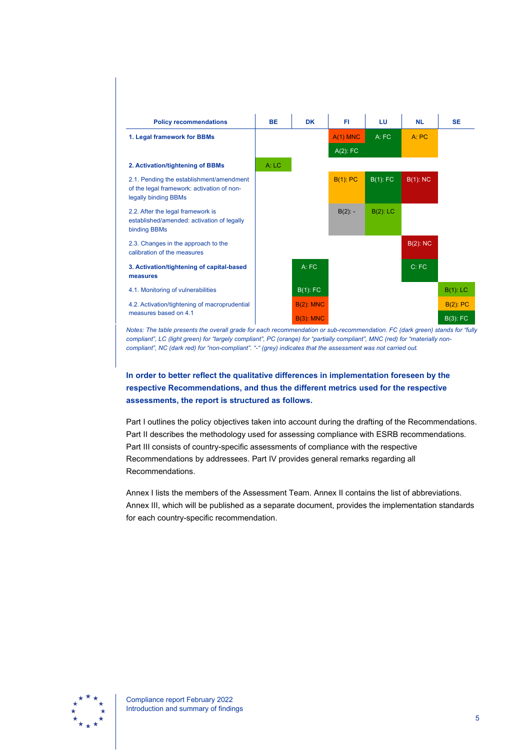

*compliant", LC (light green) for "largely compliant", PC (orange) for "partially compliant", MNC (red) for "materially noncompliant", NC (dark red) for "non-compliant". "-" (grey) indicates that the assessment was not carried out.*

## **In order to better reflect the qualitative differences in implementation foreseen by the respective Recommendations, and thus the different metrics used for the respective assessments, the report is structured as follows.**

Part I outlines the policy objectives taken into account during the drafting of the Recommendations. Part II describes the methodology used for assessing compliance with ESRB recommendations. Part III consists of country-specific assessments of compliance with the respective Recommendations by addressees. Part IV provides general remarks regarding all Recommendations.

Annex I lists the members of the Assessment Team. Annex II contains the list of abbreviations. Annex III, which will be published as a separate document, provides the implementation standards for each country-specific recommendation.

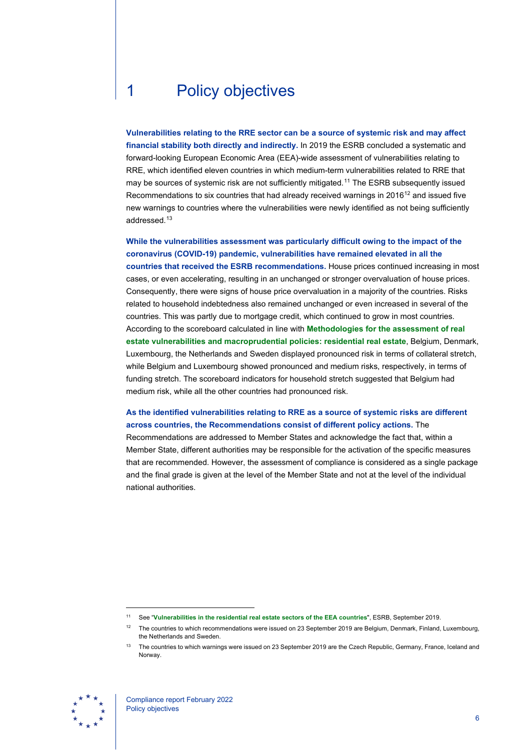# <span id="page-6-0"></span>1 Policy objectives

**Vulnerabilities relating to the RRE sector can be a source of systemic risk and may affect**  financial stability both directly and indirectly. In 2019 the ESRB concluded a systematic and forward-looking European Economic Area (EEA)-wide assessment of vulnerabilities relating to RRE, which identified eleven countries in which medium-term vulnerabilities related to RRE that may be sources of systemic risk are not sufficiently mitigated.<sup>[11](#page-6-1)</sup> The ESRB subsequently issued Recommendations to six countries that had already received warnings in 2016<sup>[12](#page-6-2)</sup> and issued five new warnings to countries where the vulnerabilities were newly identified as not being sufficiently addressed.[13](#page-6-3)

**While the vulnerabilities assessment was particularly difficult owing to the impact of the coronavirus (COVID-19) pandemic, vulnerabilities have remained elevated in all the countries that received the ESRB recommendations.** House prices continued increasing in most cases, or even accelerating, resulting in an unchanged or stronger overvaluation of house prices. Consequently, there were signs of house price overvaluation in a majority of the countries. Risks related to household indebtedness also remained unchanged or even increased in several of the countries. This was partly due to mortgage credit, which continued to grow in most countries. According to the scoreboard calculated in line with **[Methodologies for the assessment of real](https://www.esrb.europa.eu/pub/pdf/reports/esrb.report190923_methodologies_assessment_vulnerabilities_macroprudential_policies%7E7826295681.en.pdf)  [estate vulnerabilities and macroprudential policies: residential real estate](https://www.esrb.europa.eu/pub/pdf/reports/esrb.report190923_methodologies_assessment_vulnerabilities_macroprudential_policies%7E7826295681.en.pdf)**, Belgium, Denmark, Luxembourg, the Netherlands and Sweden displayed pronounced risk in terms of collateral stretch, while Belgium and Luxembourg showed pronounced and medium risks, respectively, in terms of funding stretch. The scoreboard indicators for household stretch suggested that Belgium had medium risk, while all the other countries had pronounced risk.

## **As the identified vulnerabilities relating to RRE as a source of systemic risks are different across countries, the Recommendations consist of different policy actions.** The

Recommendations are addressed to Member States and acknowledge the fact that, within a Member State, different authorities may be responsible for the activation of the specific measures that are recommended. However, the assessment of compliance is considered as a single package and the final grade is given at the level of the Member State and not at the level of the individual national authorities.

<span id="page-6-3"></span><span id="page-6-2"></span><span id="page-6-1"></span><sup>&</sup>lt;sup>13</sup> The countries to which warnings were issued on 23 September 2019 are the Czech Republic, Germany, France, Iceland and Norway.



<sup>11</sup> See "**[Vulnerabilities in the residential real estate sectors of the EEA countries](https://www.esrb.europa.eu/pub/pdf/reports/esrb.report190923_vulnerabilities_eea_countries%7Ea4864b42bf.en.pdf)**", ESRB, September 2019.

<sup>&</sup>lt;sup>12</sup> The countries to which recommendations were issued on 23 September 2019 are Belgium, Denmark, Finland, Luxembourg, the Netherlands and Sweden.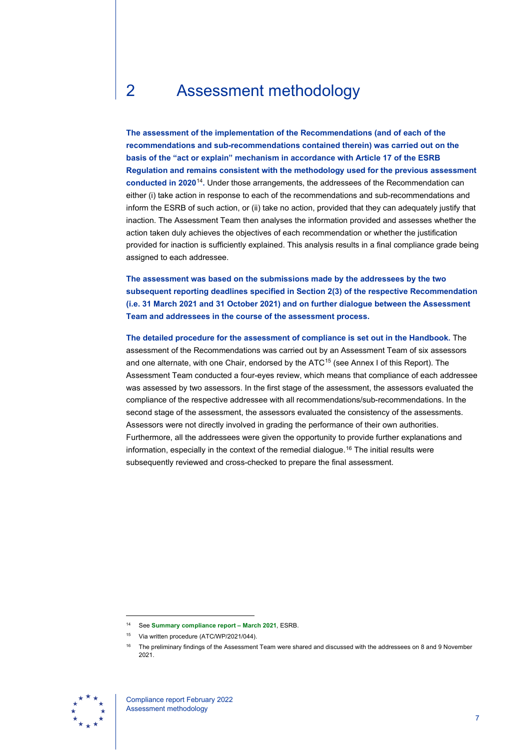# <span id="page-7-0"></span>2 Assessment methodology

**The assessment of the implementation of the Recommendations (and of each of the recommendations and sub-recommendations contained therein) was carried out on the basis of the "act or explain" mechanism in accordance with Article 17 of the ESRB Regulation and remains consistent with the methodology used for the previous assessment conducted in 2020**[14](#page-7-1)**.** Under those arrangements, the addressees of the Recommendation can either (i) take action in response to each of the recommendations and sub-recommendations and inform the ESRB of such action, or (ii) take no action, provided that they can adequately justify that inaction. The Assessment Team then analyses the information provided and assesses whether the action taken duly achieves the objectives of each recommendation or whether the justification provided for inaction is sufficiently explained. This analysis results in a final compliance grade being assigned to each addressee.

**The assessment was based on the submissions made by the addressees by the two subsequent reporting deadlines specified in Section 2(3) of the respective Recommendation (i.e. 31 March 2021 and 31 October 2021) and on further dialogue between the Assessment Team and addressees in the course of the assessment process.**

**The detailed procedure for the assessment of compliance is set out in the Handbook.** The assessment of the Recommendations was carried out by an Assessment Team of six assessors and one alternate, with one Chair, endorsed by the ATC<sup>[15](#page-7-2)</sup> (see Annex I of this Report). The Assessment Team conducted a four-eyes review, which means that compliance of each addressee was assessed by two assessors. In the first stage of the assessment, the assessors evaluated the compliance of the respective addressee with all recommendations/sub-recommendations. In the second stage of the assessment, the assessors evaluated the consistency of the assessments. Assessors were not directly involved in grading the performance of their own authorities. Furthermore, all the addressees were given the opportunity to provide further explanations and information, especially in the context of the remedial dialogue.[16](#page-7-3) The initial results were subsequently reviewed and cross-checked to prepare the final assessment.

<span id="page-7-3"></span><span id="page-7-2"></span><span id="page-7-1"></span><sup>16</sup> The preliminary findings of the Assessment Team were shared and discussed with the addressees on 8 and 9 November 2021.



<sup>14</sup> See **[Summary compliance report –](https://www.esrb.europa.eu/pub/pdf/recommendations/esrb.202108.summary_compliance_report_rre_recommendations%7E5647b809a7.en.pdf) March 2021**, ESRB.

<sup>&</sup>lt;sup>15</sup> Via written procedure (ATC/WP/2021/044).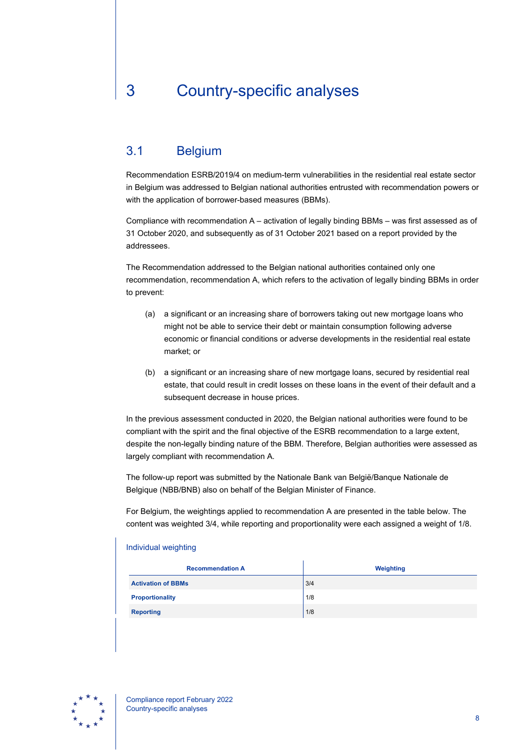# <span id="page-8-0"></span>3 Country-specific analyses

## <span id="page-8-1"></span>3.1 Belgium

Recommendation ESRB/2019/4 on medium-term vulnerabilities in the residential real estate sector in Belgium was addressed to Belgian national authorities entrusted with recommendation powers or with the application of borrower-based measures (BBMs).

Compliance with recommendation A – activation of legally binding BBMs – was first assessed as of 31 October 2020, and subsequently as of 31 October 2021 based on a report provided by the addressees.

The Recommendation addressed to the Belgian national authorities contained only one recommendation, recommendation A, which refers to the activation of legally binding BBMs in order to prevent:

- (a) a significant or an increasing share of borrowers taking out new mortgage loans who might not be able to service their debt or maintain consumption following adverse economic or financial conditions or adverse developments in the residential real estate market; or
- (b) a significant or an increasing share of new mortgage loans, secured by residential real estate, that could result in credit losses on these loans in the event of their default and a subsequent decrease in house prices.

In the previous assessment conducted in 2020, the Belgian national authorities were found to be compliant with the spirit and the final objective of the ESRB recommendation to a large extent, despite the non-legally binding nature of the BBM. Therefore, Belgian authorities were assessed as largely compliant with recommendation A.

The follow-up report was submitted by the Nationale Bank van België/Banque Nationale de Belgique (NBB/BNB) also on behalf of the Belgian Minister of Finance.

For Belgium, the weightings applied to recommendation A are presented in the table below. The content was weighted 3/4, while reporting and proportionality were each assigned a weight of 1/8.

| <b>Recommendation A</b>   | Weighting |
|---------------------------|-----------|
| <b>Activation of BBMs</b> | 3/4       |
| <b>Proportionality</b>    | 1/8       |
| <b>Reporting</b>          | 1/8       |

### Individual weighting

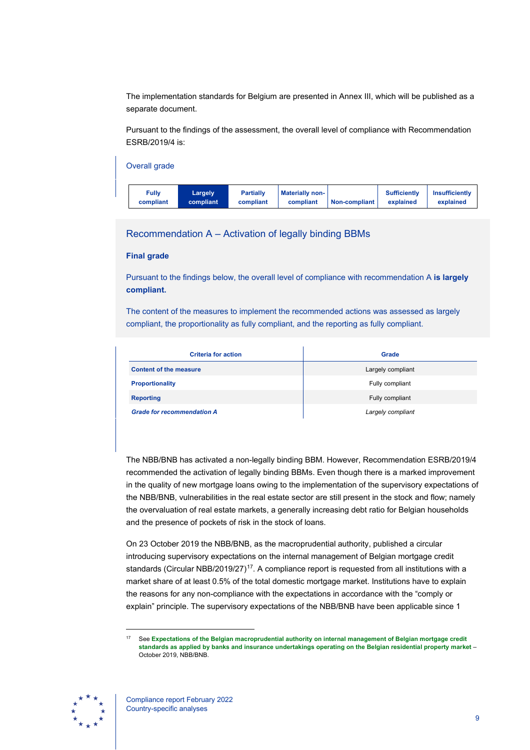The implementation standards for Belgium are presented in Annex III, which will be published as a separate document.

Pursuant to the findings of the assessment, the overall level of compliance with Recommendation ESRB/2019/4 is:

| Overall grade             |                      |                               |                                     |               |                                  |                                    |
|---------------------------|----------------------|-------------------------------|-------------------------------------|---------------|----------------------------------|------------------------------------|
| <b>Fully</b><br>compliant | Largely<br>compliant | <b>Partially</b><br>compliant | <b>Materially non-</b><br>compliant | Non-compliant | <b>Sufficiently</b><br>explained | <b>Insufficiently</b><br>explained |

## Recommendation A – Activation of legally binding BBMs

#### **Final grade**

Pursuant to the findings below, the overall level of compliance with recommendation A **is largely compliant.**

The content of the measures to implement the recommended actions was assessed as largely compliant, the proportionality as fully compliant, and the reporting as fully compliant.

| <b>Criteria for action</b>        | Grade             |
|-----------------------------------|-------------------|
| <b>Content of the measure</b>     | Largely compliant |
| <b>Proportionality</b>            | Fully compliant   |
| <b>Reporting</b>                  | Fully compliant   |
| <b>Grade for recommendation A</b> | Largely compliant |

The NBB/BNB has activated a non-legally binding BBM. However, Recommendation ESRB/2019/4 recommended the activation of legally binding BBMs. Even though there is a marked improvement in the quality of new mortgage loans owing to the implementation of the supervisory expectations of the NBB/BNB, vulnerabilities in the real estate sector are still present in the stock and flow; namely the overvaluation of real estate markets, a generally increasing debt ratio for Belgian households and the presence of pockets of risk in the stock of loans.

On 23 October 2019 the NBB/BNB, as the macroprudential authority, published a circular introducing supervisory expectations on the internal management of Belgian mortgage credit standards (Circular NBB/2019/27)<sup>[17](#page-9-0)</sup>. A compliance report is requested from all institutions with a market share of at least 0.5% of the total domestic mortgage market. Institutions have to explain the reasons for any non-compliance with the expectations in accordance with the "comply or explain" principle. The supervisory expectations of the NBB/BNB have been applicable since 1

<span id="page-9-0"></span><sup>17</sup> See **[Expectations of the Belgian macroprudential authority on internal management of Belgian mortgage credit](https://www.nbb.be/doc/cp/eng/2019/20191023_nbb_2019_27.pdf)  [standards as applied by banks and insurance undertakings operating on the Belgian residential property market](https://www.nbb.be/doc/cp/eng/2019/20191023_nbb_2019_27.pdf)** – October 2019, NBB/BNB.

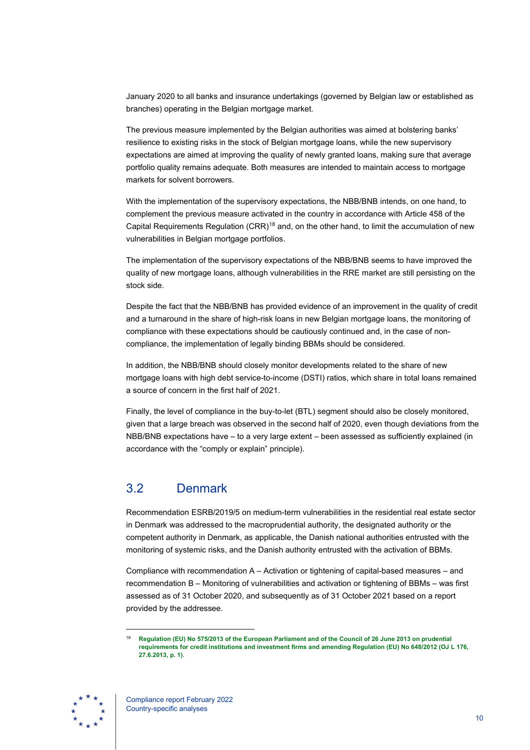January 2020 to all banks and insurance undertakings (governed by Belgian law or established as branches) operating in the Belgian mortgage market.

The previous measure implemented by the Belgian authorities was aimed at bolstering banks' resilience to existing risks in the stock of Belgian mortgage loans, while the new supervisory expectations are aimed at improving the quality of newly granted loans, making sure that average portfolio quality remains adequate. Both measures are intended to maintain access to mortgage markets for solvent borrowers.

With the implementation of the supervisory expectations, the NBB/BNB intends, on one hand, to complement the previous measure activated in the country in accordance with Article 458 of the Capital Requirements Regulation  $(CRR)^{18}$  $(CRR)^{18}$  $(CRR)^{18}$  and, on the other hand, to limit the accumulation of new vulnerabilities in Belgian mortgage portfolios.

The implementation of the supervisory expectations of the NBB/BNB seems to have improved the quality of new mortgage loans, although vulnerabilities in the RRE market are still persisting on the stock side.

Despite the fact that the NBB/BNB has provided evidence of an improvement in the quality of credit and a turnaround in the share of high-risk loans in new Belgian mortgage loans, the monitoring of compliance with these expectations should be cautiously continued and, in the case of noncompliance, the implementation of legally binding BBMs should be considered.

In addition, the NBB/BNB should closely monitor developments related to the share of new mortgage loans with high debt service-to-income (DSTI) ratios, which share in total loans remained a source of concern in the first half of 2021.

Finally, the level of compliance in the buy-to-let (BTL) segment should also be closely monitored, given that a large breach was observed in the second half of 2020, even though deviations from the NBB/BNB expectations have – to a very large extent – been assessed as sufficiently explained (in accordance with the "comply or explain" principle).

## <span id="page-10-0"></span>3.2 Denmark

Recommendation ESRB/2019/5 on medium-term vulnerabilities in the residential real estate sector in Denmark was addressed to the macroprudential authority, the designated authority or the competent authority in Denmark, as applicable, the Danish national authorities entrusted with the monitoring of systemic risks, and the Danish authority entrusted with the activation of BBMs.

Compliance with recommendation A – Activation or tightening of capital-based measures – and recommendation B – Monitoring of vulnerabilities and activation or tightening of BBMs – was first assessed as of 31 October 2020, and subsequently as of 31 October 2021 based on a report provided by the addressee.

<span id="page-10-1"></span><sup>18</sup> **[Regulation \(EU\) No 575/2013 of the European Parliament and of the Council of 26 June 2013 on prudential](http://data.europa.eu/eli/reg/2013/575/oj)  [requirements for credit institutions and investment firms and amending Regulation \(EU\) No 648/2012 \(OJ L 176,](http://data.europa.eu/eli/reg/2013/575/oj)  [27.6.2013, p. 1\)](http://data.europa.eu/eli/reg/2013/575/oj)**.

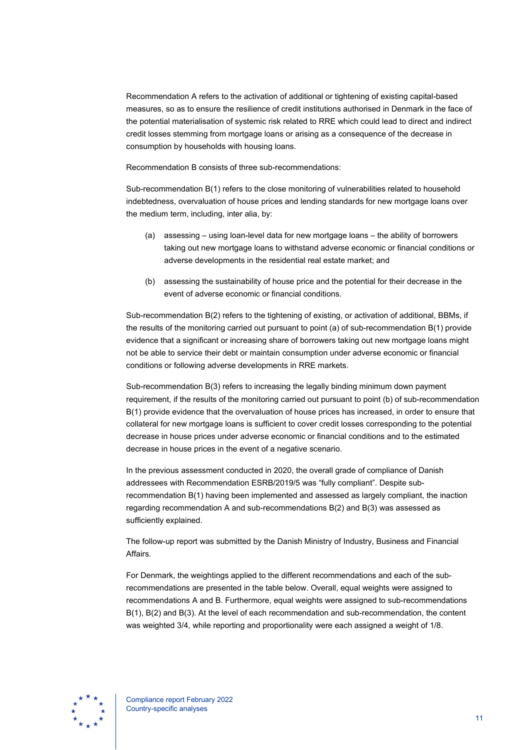Recommendation A refers to the activation of additional or tightening of existing capital-based measures, so as to ensure the resilience of credit institutions authorised in Denmark in the face of the potential materialisation of systemic risk related to RRE which could lead to direct and indirect credit losses stemming from mortgage loans or arising as a consequence of the decrease in consumption by households with housing loans.

Recommendation B consists of three sub-recommendations:

Sub-recommendation B(1) refers to the close monitoring of vulnerabilities related to household indebtedness, overvaluation of house prices and lending standards for new mortgage loans over the medium term, including, inter alia, by:

- (a) assessing using loan-level data for new mortgage loans the ability of borrowers taking out new mortgage loans to withstand adverse economic or financial conditions or adverse developments in the residential real estate market; and
- (b) assessing the sustainability of house price and the potential for their decrease in the event of adverse economic or financial conditions.

Sub-recommendation B(2) refers to the tightening of existing, or activation of additional, BBMs, if the results of the monitoring carried out pursuant to point (a) of sub-recommendation B(1) provide evidence that a significant or increasing share of borrowers taking out new mortgage loans might not be able to service their debt or maintain consumption under adverse economic or financial conditions or following adverse developments in RRE markets.

Sub-recommendation B(3) refers to increasing the legally binding minimum down payment requirement, if the results of the monitoring carried out pursuant to point (b) of sub-recommendation B(1) provide evidence that the overvaluation of house prices has increased, in order to ensure that collateral for new mortgage loans is sufficient to cover credit losses corresponding to the potential decrease in house prices under adverse economic or financial conditions and to the estimated decrease in house prices in the event of a negative scenario.

In the previous assessment conducted in 2020, the overall grade of compliance of Danish addressees with Recommendation ESRB/2019/5 was "fully compliant". Despite subrecommendation B(1) having been implemented and assessed as largely compliant, the inaction regarding recommendation A and sub-recommendations B(2) and B(3) was assessed as sufficiently explained.

The follow-up report was submitted by the Danish Ministry of Industry, Business and Financial Affairs.

For Denmark, the weightings applied to the different recommendations and each of the subrecommendations are presented in the table below. Overall, equal weights were assigned to recommendations A and B. Furthermore, equal weights were assigned to sub-recommendations B(1), B(2) and B(3). At the level of each recommendation and sub-recommendation, the content was weighted 3/4, while reporting and proportionality were each assigned a weight of 1/8.

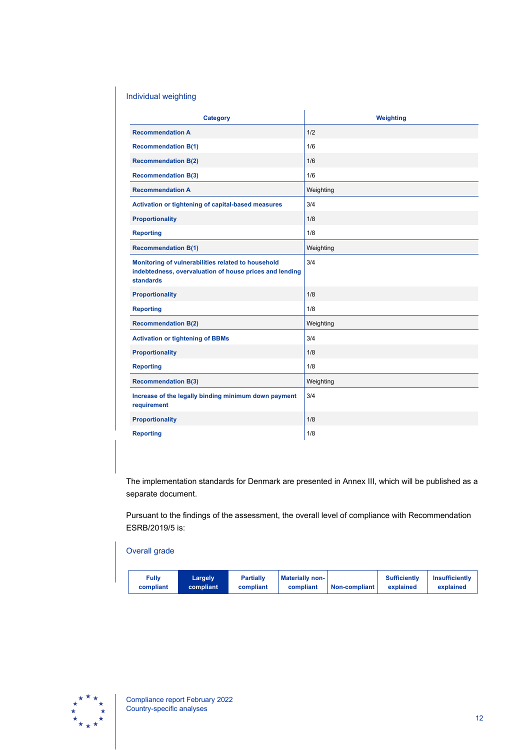## Individual weighting

| <b>Category</b>                                                                                                            | Weighting |
|----------------------------------------------------------------------------------------------------------------------------|-----------|
| <b>Recommendation A</b>                                                                                                    | 1/2       |
| <b>Recommendation B(1)</b>                                                                                                 | 1/6       |
| <b>Recommendation B(2)</b>                                                                                                 | 1/6       |
| <b>Recommendation B(3)</b>                                                                                                 | 1/6       |
| <b>Recommendation A</b>                                                                                                    | Weighting |
| Activation or tightening of capital-based measures                                                                         | 3/4       |
| <b>Proportionality</b>                                                                                                     | 1/8       |
| <b>Reporting</b>                                                                                                           | 1/8       |
| <b>Recommendation B(1)</b>                                                                                                 | Weighting |
| Monitoring of vulnerabilities related to household<br>indebtedness, overvaluation of house prices and lending<br>standards | 3/4       |
| <b>Proportionality</b>                                                                                                     | 1/8       |
| <b>Reporting</b>                                                                                                           | 1/8       |
| <b>Recommendation B(2)</b>                                                                                                 | Weighting |
| <b>Activation or tightening of BBMs</b>                                                                                    | 3/4       |
| <b>Proportionality</b>                                                                                                     | 1/8       |
| <b>Reporting</b>                                                                                                           | 1/8       |
| <b>Recommendation B(3)</b>                                                                                                 | Weighting |
| Increase of the legally binding minimum down payment<br>requirement                                                        | 3/4       |
| <b>Proportionality</b>                                                                                                     | 1/8       |
| <b>Reporting</b>                                                                                                           | 1/8       |

The implementation standards for Denmark are presented in Annex III, which will be published as a separate document.

Pursuant to the findings of the assessment, the overall level of compliance with Recommendation ESRB/2019/5 is:

## Overall grade



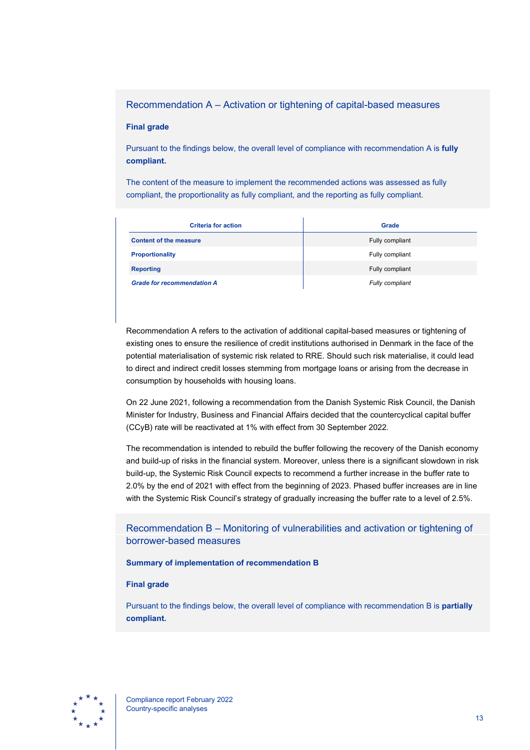## Recommendation A – Activation or tightening of capital-based measures

#### **Final grade**

Pursuant to the findings below, the overall level of compliance with recommendation A is **fully compliant.**

The content of the measure to implement the recommended actions was assessed as fully compliant, the proportionality as fully compliant, and the reporting as fully compliant.

| <b>Criteria for action</b>        | <b>Grade</b>    |
|-----------------------------------|-----------------|
| <b>Content of the measure</b>     | Fully compliant |
| <b>Proportionality</b>            | Fully compliant |
| <b>Reporting</b>                  | Fully compliant |
| <b>Grade for recommendation A</b> | Fully compliant |

Recommendation A refers to the activation of additional capital-based measures or tightening of existing ones to ensure the resilience of credit institutions authorised in Denmark in the face of the potential materialisation of systemic risk related to RRE. Should such risk materialise, it could lead to direct and indirect credit losses stemming from mortgage loans or arising from the decrease in consumption by households with housing loans.

On 22 June 2021, following a recommendation from the Danish Systemic Risk Council, the Danish Minister for Industry, Business and Financial Affairs decided that the countercyclical capital buffer (CCyB) rate will be reactivated at 1% with effect from 30 September 2022.

The recommendation is intended to rebuild the buffer following the recovery of the Danish economy and build-up of risks in the financial system. Moreover, unless there is a significant slowdown in risk build-up, the Systemic Risk Council expects to recommend a further increase in the buffer rate to 2.0% by the end of 2021 with effect from the beginning of 2023. Phased buffer increases are in line with the Systemic Risk Council's strategy of gradually increasing the buffer rate to a level of 2.5%.

Recommendation B – Monitoring of vulnerabilities and activation or tightening of borrower-based measures

### **Summary of implementation of recommendation B**

#### **Final grade**

Pursuant to the findings below, the overall level of compliance with recommendation B is **partially compliant.**

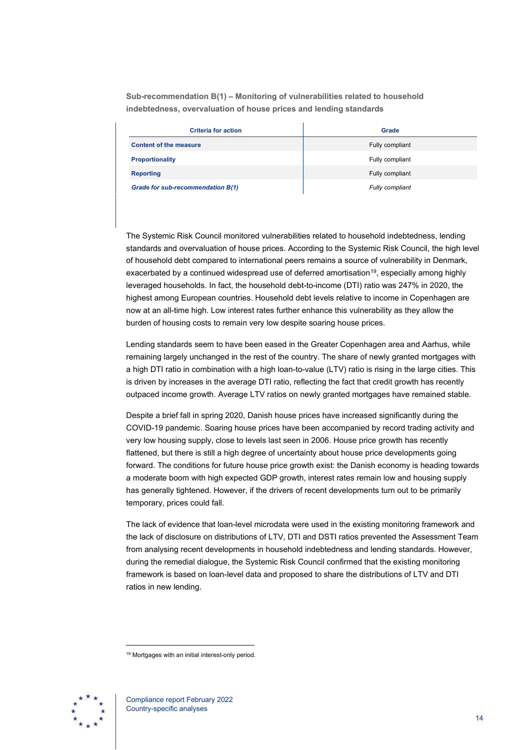**Sub-recommendation B(1) – Monitoring of vulnerabilities related to household indebtedness, overvaluation of house prices and lending standards**

| <b>Criteria for action</b>        | Grade           |
|-----------------------------------|-----------------|
| <b>Content of the measure</b>     | Fully compliant |
| <b>Proportionality</b>            | Fully compliant |
| <b>Reporting</b>                  | Fully compliant |
| Grade for sub-recommendation B(1) | Fully compliant |

The Systemic Risk Council monitored vulnerabilities related to household indebtedness, lending standards and overvaluation of house prices. According to the Systemic Risk Council, the high level of household debt compared to international peers remains a source of vulnerability in Denmark, exacerbated by a continued widespread use of deferred amortisation<sup>19</sup>, especially among highly leveraged households. In fact, the household debt-to-income (DTI) ratio was 247% in 2020, the highest among European countries. Household debt levels relative to income in Copenhagen are now at an all-time high. Low interest rates further enhance this vulnerability as they allow the burden of housing costs to remain very low despite soaring house prices.

Lending standards seem to have been eased in the Greater Copenhagen area and Aarhus, while remaining largely unchanged in the rest of the country. The share of newly granted mortgages with a high DTI ratio in combination with a high loan-to-value (LTV) ratio is rising in the large cities. This is driven by increases in the average DTI ratio, reflecting the fact that credit growth has recently outpaced income growth. Average LTV ratios on newly granted mortgages have remained stable.

Despite a brief fall in spring 2020, Danish house prices have increased significantly during the COVID-19 pandemic. Soaring house prices have been accompanied by record trading activity and very low housing supply, close to levels last seen in 2006. House price growth has recently flattened, but there is still a high degree of uncertainty about house price developments going forward. The conditions for future house price growth exist: the Danish economy is heading towards a moderate boom with high expected GDP growth, interest rates remain low and housing supply has generally tightened. However, if the drivers of recent developments turn out to be primarily temporary, prices could fall.

The lack of evidence that loan-level microdata were used in the existing monitoring framework and the lack of disclosure on distributions of LTV, DTI and DSTI ratios prevented the Assessment Team from analysing recent developments in household indebtedness and lending standards. However, during the remedial dialogue, the Systemic Risk Council confirmed that the existing monitoring framework is based on loan-level data and proposed to share the distributions of LTV and DTI ratios in new lending.

<span id="page-14-0"></span><sup>&</sup>lt;sup>19</sup> Mortgages with an initial interest-only period.

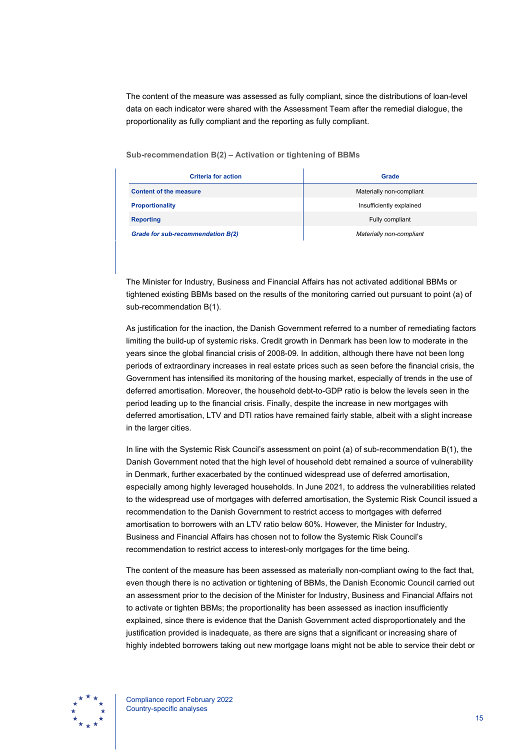The content of the measure was assessed as fully compliant, since the distributions of loan-level data on each indicator were shared with the Assessment Team after the remedial dialogue, the proportionality as fully compliant and the reporting as fully compliant.

| Sub-recommendation B(2) – Activation or tightening of BBMs |  |  |  |  |
|------------------------------------------------------------|--|--|--|--|
|------------------------------------------------------------|--|--|--|--|

| <b>Criteria for action</b>        | Grade                    |  |  |
|-----------------------------------|--------------------------|--|--|
| <b>Content of the measure</b>     | Materially non-compliant |  |  |
| <b>Proportionality</b>            | Insufficiently explained |  |  |
| <b>Reporting</b>                  | Fully compliant          |  |  |
| Grade for sub-recommendation B(2) | Materially non-compliant |  |  |

The Minister for Industry, Business and Financial Affairs has not activated additional BBMs or tightened existing BBMs based on the results of the monitoring carried out pursuant to point (a) of sub-recommendation B(1).

As justification for the inaction, the Danish Government referred to a number of remediating factors limiting the build-up of systemic risks. Credit growth in Denmark has been low to moderate in the years since the global financial crisis of 2008-09. In addition, although there have not been long periods of extraordinary increases in real estate prices such as seen before the financial crisis, the Government has intensified its monitoring of the housing market, especially of trends in the use of deferred amortisation. Moreover, the household debt-to-GDP ratio is below the levels seen in the period leading up to the financial crisis. Finally, despite the increase in new mortgages with deferred amortisation, LTV and DTI ratios have remained fairly stable, albeit with a slight increase in the larger cities.

In line with the Systemic Risk Council's assessment on point (a) of sub-recommendation B(1), the Danish Government noted that the high level of household debt remained a source of vulnerability in Denmark, further exacerbated by the continued widespread use of deferred amortisation, especially among highly leveraged households. In June 2021, to address the vulnerabilities related to the widespread use of mortgages with deferred amortisation, the Systemic Risk Council issued a recommendation to the Danish Government to restrict access to mortgages with deferred amortisation to borrowers with an LTV ratio below 60%. However, the Minister for Industry, Business and Financial Affairs has chosen not to follow the Systemic Risk Council's recommendation to restrict access to interest-only mortgages for the time being.

The content of the measure has been assessed as materially non-compliant owing to the fact that, even though there is no activation or tightening of BBMs, the Danish Economic Council carried out an assessment prior to the decision of the Minister for Industry, Business and Financial Affairs not to activate or tighten BBMs; the proportionality has been assessed as inaction insufficiently explained, since there is evidence that the Danish Government acted disproportionately and the justification provided is inadequate, as there are signs that a significant or increasing share of highly indebted borrowers taking out new mortgage loans might not be able to service their debt or

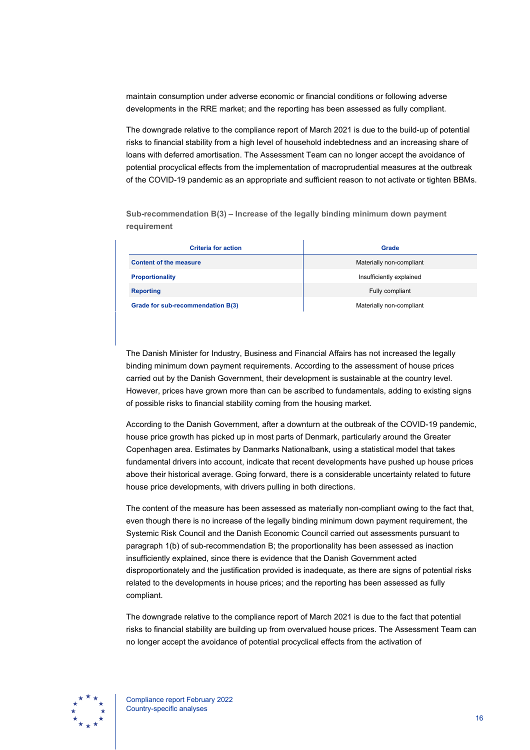maintain consumption under adverse economic or financial conditions or following adverse developments in the RRE market; and the reporting has been assessed as fully compliant.

The downgrade relative to the compliance report of March 2021 is due to the build-up of potential risks to financial stability from a high level of household indebtedness and an increasing share of loans with deferred amortisation. The Assessment Team can no longer accept the avoidance of potential procyclical effects from the implementation of macroprudential measures at the outbreak of the COVID-19 pandemic as an appropriate and sufficient reason to not activate or tighten BBMs.

**Sub-recommendation B(3) – Increase of the legally binding minimum down payment requirement**

| <b>Criteria for action</b>        | Grade                    |  |  |
|-----------------------------------|--------------------------|--|--|
| <b>Content of the measure</b>     | Materially non-compliant |  |  |
| <b>Proportionality</b>            | Insufficiently explained |  |  |
| <b>Reporting</b>                  | Fully compliant          |  |  |
| Grade for sub-recommendation B(3) | Materially non-compliant |  |  |

The Danish Minister for Industry, Business and Financial Affairs has not increased the legally binding minimum down payment requirements. According to the assessment of house prices carried out by the Danish Government, their development is sustainable at the country level. However, prices have grown more than can be ascribed to fundamentals, adding to existing signs of possible risks to financial stability coming from the housing market.

According to the Danish Government, after a downturn at the outbreak of the COVID-19 pandemic, house price growth has picked up in most parts of Denmark, particularly around the Greater Copenhagen area. Estimates by Danmarks Nationalbank, using a statistical model that takes fundamental drivers into account, indicate that recent developments have pushed up house prices above their historical average. Going forward, there is a considerable uncertainty related to future house price developments, with drivers pulling in both directions.

The content of the measure has been assessed as materially non-compliant owing to the fact that, even though there is no increase of the legally binding minimum down payment requirement, the Systemic Risk Council and the Danish Economic Council carried out assessments pursuant to paragraph 1(b) of sub-recommendation B; the proportionality has been assessed as inaction insufficiently explained, since there is evidence that the Danish Government acted disproportionately and the justification provided is inadequate, as there are signs of potential risks related to the developments in house prices; and the reporting has been assessed as fully compliant.

The downgrade relative to the compliance report of March 2021 is due to the fact that potential risks to financial stability are building up from overvalued house prices. The Assessment Team can no longer accept the avoidance of potential procyclical effects from the activation of

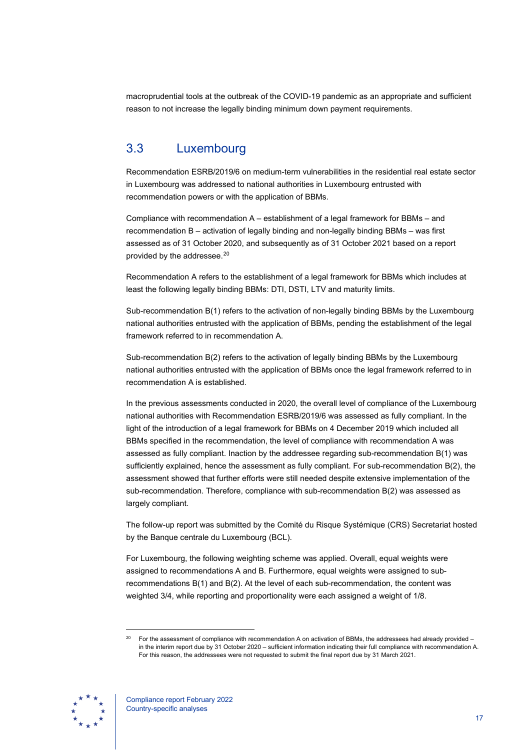macroprudential tools at the outbreak of the COVID-19 pandemic as an appropriate and sufficient reason to not increase the legally binding minimum down payment requirements.

## <span id="page-17-0"></span>3.3 Luxembourg

Recommendation ESRB/2019/6 on medium-term vulnerabilities in the residential real estate sector in Luxembourg was addressed to national authorities in Luxembourg entrusted with recommendation powers or with the application of BBMs.

Compliance with recommendation A – establishment of a legal framework for BBMs – and recommendation B – activation of legally binding and non-legally binding BBMs – was first assessed as of 31 October 2020, and subsequently as of 31 October 2021 based on a report provided by the addressee.[20](#page-17-1)

Recommendation A refers to the establishment of a legal framework for BBMs which includes at least the following legally binding BBMs: DTI, DSTI, LTV and maturity limits.

Sub-recommendation B(1) refers to the activation of non-legally binding BBMs by the Luxembourg national authorities entrusted with the application of BBMs, pending the establishment of the legal framework referred to in recommendation A.

Sub-recommendation B(2) refers to the activation of legally binding BBMs by the Luxembourg national authorities entrusted with the application of BBMs once the legal framework referred to in recommendation A is established.

In the previous assessments conducted in 2020, the overall level of compliance of the Luxembourg national authorities with Recommendation ESRB/2019/6 was assessed as fully compliant. In the light of the introduction of a legal framework for BBMs on 4 December 2019 which included all BBMs specified in the recommendation, the level of compliance with recommendation A was assessed as fully compliant. Inaction by the addressee regarding sub-recommendation B(1) was sufficiently explained, hence the assessment as fully compliant. For sub-recommendation B(2), the assessment showed that further efforts were still needed despite extensive implementation of the sub-recommendation. Therefore, compliance with sub-recommendation B(2) was assessed as largely compliant.

The follow-up report was submitted by the Comité du Risque Systémique (CRS) Secretariat hosted by the Banque centrale du Luxembourg (BCL).

For Luxembourg, the following weighting scheme was applied. Overall, equal weights were assigned to recommendations A and B. Furthermore, equal weights were assigned to subrecommendations B(1) and B(2). At the level of each sub-recommendation, the content was weighted 3/4, while reporting and proportionality were each assigned a weight of 1/8.

<span id="page-17-1"></span>For the assessment of compliance with recommendation A on activation of BBMs, the addressees had already provided in the interim report due by 31 October 2020 – sufficient information indicating their full compliance with recommendation A. For this reason, the addressees were not requested to submit the final report due by 31 March 2021.

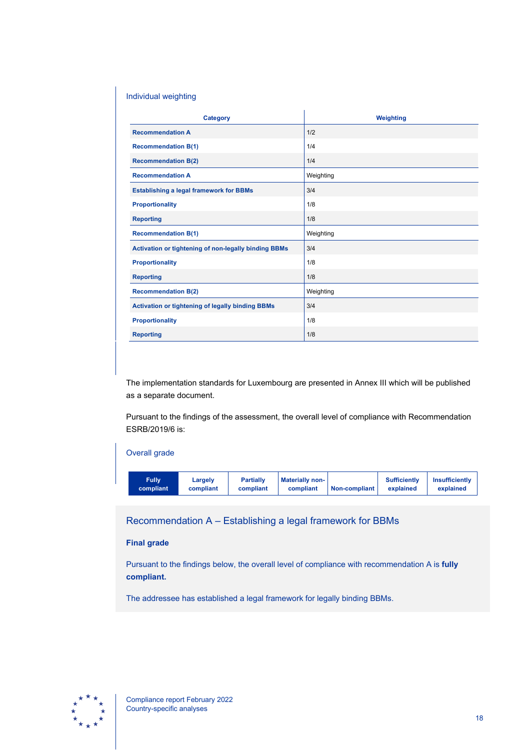### Individual weighting

| <b>Category</b>                                         | Weighting |
|---------------------------------------------------------|-----------|
| <b>Recommendation A</b>                                 | 1/2       |
| <b>Recommendation B(1)</b>                              | 1/4       |
| <b>Recommendation B(2)</b>                              | 1/4       |
| <b>Recommendation A</b>                                 | Weighting |
| <b>Establishing a legal framework for BBMs</b>          | 3/4       |
| <b>Proportionality</b>                                  | 1/8       |
| <b>Reporting</b>                                        | 1/8       |
| <b>Recommendation B(1)</b>                              | Weighting |
| Activation or tightening of non-legally binding BBMs    | 3/4       |
| <b>Proportionality</b>                                  | 1/8       |
| <b>Reporting</b>                                        | 1/8       |
| <b>Recommendation B(2)</b>                              | Weighting |
| <b>Activation or tightening of legally binding BBMs</b> | 3/4       |
| <b>Proportionality</b>                                  | 1/8       |
| <b>Reporting</b>                                        | 1/8       |

The implementation standards for Luxembourg are presented in Annex III which will be published as a separate document.

Pursuant to the findings of the assessment, the overall level of compliance with Recommendation ESRB/2019/6 is:



Recommendation A – Establishing a legal framework for BBMs

### **Final grade**

Pursuant to the findings below, the overall level of compliance with recommendation A is **fully compliant.**

The addressee has established a legal framework for legally binding BBMs.

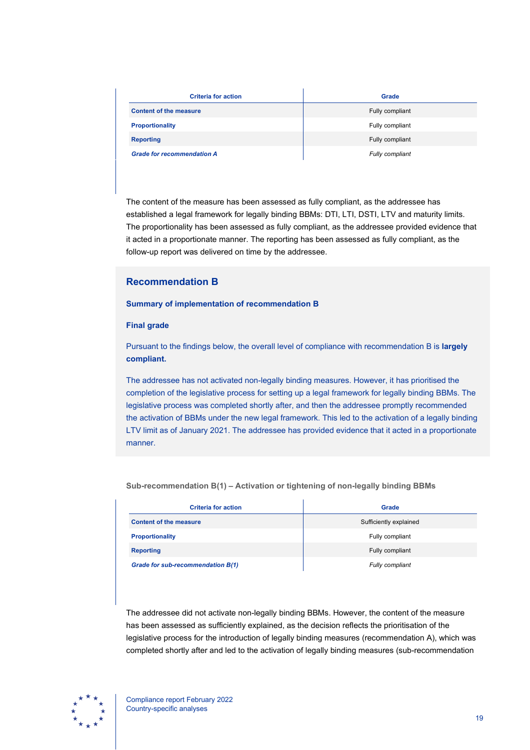| <b>Criteria for action</b>        | Grade           |
|-----------------------------------|-----------------|
| <b>Content of the measure</b>     | Fully compliant |
| <b>Proportionality</b>            | Fully compliant |
| <b>Reporting</b>                  | Fully compliant |
| <b>Grade for recommendation A</b> | Fully compliant |

The content of the measure has been assessed as fully compliant, as the addressee has established a legal framework for legally binding BBMs: DTI, LTI, DSTI, LTV and maturity limits. The proportionality has been assessed as fully compliant, as the addressee provided evidence that it acted in a proportionate manner. The reporting has been assessed as fully compliant, as the follow-up report was delivered on time by the addressee.

### **Recommendation B**

#### **Summary of implementation of recommendation B**

#### **Final grade**

Pursuant to the findings below, the overall level of compliance with recommendation B is **largely compliant.**

The addressee has not activated non-legally binding measures. However, it has prioritised the completion of the legislative process for setting up a legal framework for legally binding BBMs. The legislative process was completed shortly after, and then the addressee promptly recommended the activation of BBMs under the new legal framework. This led to the activation of a legally binding LTV limit as of January 2021. The addressee has provided evidence that it acted in a proportionate manner.

| <b>Criteria for action</b>        | Grade                  |
|-----------------------------------|------------------------|
| <b>Content of the measure</b>     | Sufficiently explained |
| <b>Proportionality</b>            | Fully compliant        |
| <b>Reporting</b>                  | Fully compliant        |
| Grade for sub-recommendation B(1) | <b>Fully compliant</b> |

**Sub-recommendation B(1) – Activation or tightening of non-legally binding BBMs**

The addressee did not activate non-legally binding BBMs. However, the content of the measure has been assessed as sufficiently explained, as the decision reflects the prioritisation of the legislative process for the introduction of legally binding measures (recommendation A), which was completed shortly after and led to the activation of legally binding measures (sub-recommendation

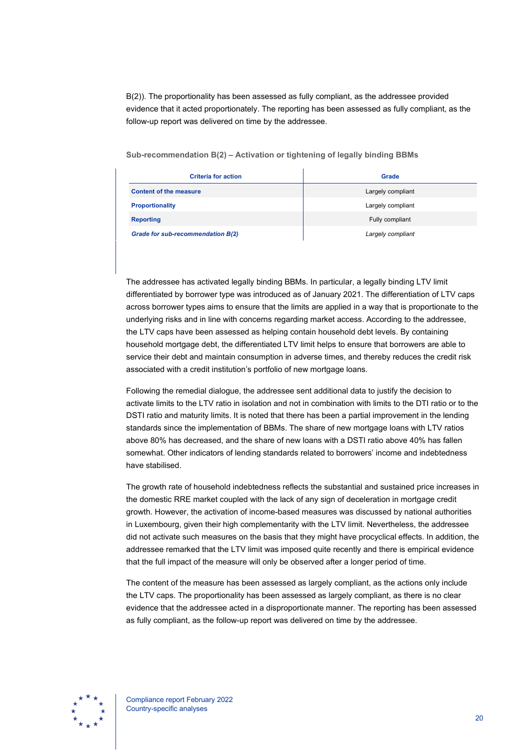B(2)). The proportionality has been assessed as fully compliant, as the addressee provided evidence that it acted proportionately. The reporting has been assessed as fully compliant, as the follow-up report was delivered on time by the addressee.

**Sub-recommendation B(2) – Activation or tightening of legally binding BBMs**

| <b>Criteria for action</b>        | Grade             |
|-----------------------------------|-------------------|
| <b>Content of the measure</b>     | Largely compliant |
| <b>Proportionality</b>            | Largely compliant |
| <b>Reporting</b>                  | Fully compliant   |
| Grade for sub-recommendation B(2) | Largely compliant |

The addressee has activated legally binding BBMs. In particular, a legally binding LTV limit differentiated by borrower type was introduced as of January 2021. The differentiation of LTV caps across borrower types aims to ensure that the limits are applied in a way that is proportionate to the underlying risks and in line with concerns regarding market access. According to the addressee, the LTV caps have been assessed as helping contain household debt levels. By containing household mortgage debt, the differentiated LTV limit helps to ensure that borrowers are able to service their debt and maintain consumption in adverse times, and thereby reduces the credit risk associated with a credit institution's portfolio of new mortgage loans.

Following the remedial dialogue, the addressee sent additional data to justify the decision to activate limits to the LTV ratio in isolation and not in combination with limits to the DTI ratio or to the DSTI ratio and maturity limits. It is noted that there has been a partial improvement in the lending standards since the implementation of BBMs. The share of new mortgage loans with LTV ratios above 80% has decreased, and the share of new loans with a DSTI ratio above 40% has fallen somewhat. Other indicators of lending standards related to borrowers' income and indebtedness have stabilised.

The growth rate of household indebtedness reflects the substantial and sustained price increases in the domestic RRE market coupled with the lack of any sign of deceleration in mortgage credit growth. However, the activation of income-based measures was discussed by national authorities in Luxembourg, given their high complementarity with the LTV limit. Nevertheless, the addressee did not activate such measures on the basis that they might have procyclical effects. In addition, the addressee remarked that the LTV limit was imposed quite recently and there is empirical evidence that the full impact of the measure will only be observed after a longer period of time.

The content of the measure has been assessed as largely compliant, as the actions only include the LTV caps. The proportionality has been assessed as largely compliant, as there is no clear evidence that the addressee acted in a disproportionate manner. The reporting has been assessed as fully compliant, as the follow-up report was delivered on time by the addressee.

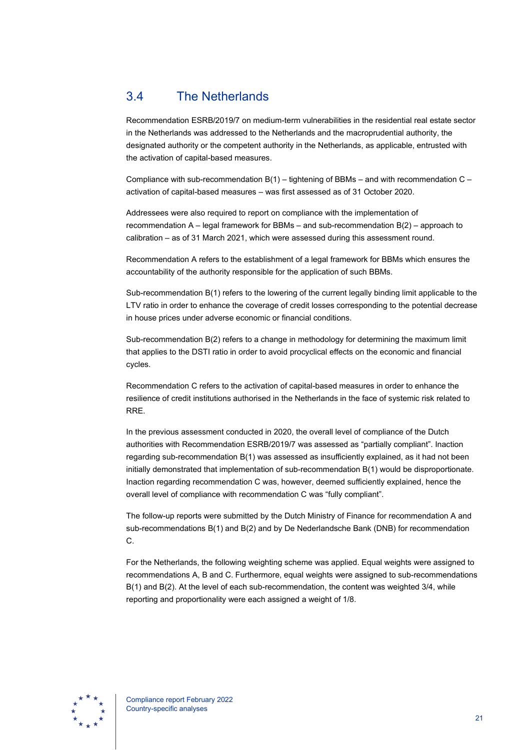## <span id="page-21-0"></span>3.4 The Netherlands

Recommendation ESRB/2019/7 on medium-term vulnerabilities in the residential real estate sector in the Netherlands was addressed to the Netherlands and the macroprudential authority, the designated authority or the competent authority in the Netherlands, as applicable, entrusted with the activation of capital-based measures.

Compliance with sub-recommendation  $B(1)$  – tightening of BBMs – and with recommendation C – activation of capital-based measures – was first assessed as of 31 October 2020.

Addressees were also required to report on compliance with the implementation of recommendation A – legal framework for BBMs – and sub-recommendation B(2) – approach to calibration – as of 31 March 2021, which were assessed during this assessment round.

Recommendation A refers to the establishment of a legal framework for BBMs which ensures the accountability of the authority responsible for the application of such BBMs.

Sub-recommendation B(1) refers to the lowering of the current legally binding limit applicable to the LTV ratio in order to enhance the coverage of credit losses corresponding to the potential decrease in house prices under adverse economic or financial conditions.

Sub-recommendation B(2) refers to a change in methodology for determining the maximum limit that applies to the DSTI ratio in order to avoid procyclical effects on the economic and financial cycles.

Recommendation C refers to the activation of capital-based measures in order to enhance the resilience of credit institutions authorised in the Netherlands in the face of systemic risk related to RRE.

In the previous assessment conducted in 2020, the overall level of compliance of the Dutch authorities with Recommendation ESRB/2019/7 was assessed as "partially compliant". Inaction regarding sub-recommendation B(1) was assessed as insufficiently explained, as it had not been initially demonstrated that implementation of sub-recommendation B(1) would be disproportionate. Inaction regarding recommendation C was, however, deemed sufficiently explained, hence the overall level of compliance with recommendation C was "fully compliant".

The follow-up reports were submitted by the Dutch Ministry of Finance for recommendation A and sub-recommendations B(1) and B(2) and by De Nederlandsche Bank (DNB) for recommendation C.

For the Netherlands, the following weighting scheme was applied. Equal weights were assigned to recommendations A, B and C. Furthermore, equal weights were assigned to sub-recommendations B(1) and B(2). At the level of each sub-recommendation, the content was weighted 3/4, while reporting and proportionality were each assigned a weight of 1/8.

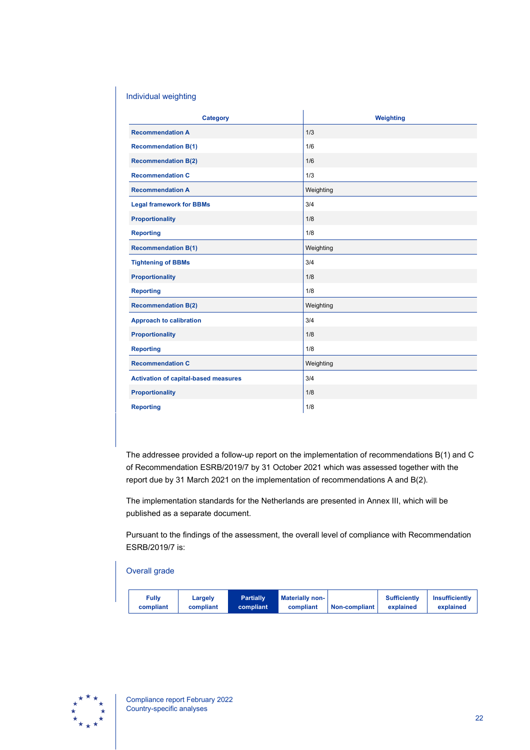### Individual weighting

| Category                                    | Weighting |
|---------------------------------------------|-----------|
| <b>Recommendation A</b>                     | 1/3       |
| <b>Recommendation B(1)</b>                  | 1/6       |
| <b>Recommendation B(2)</b>                  | 1/6       |
| <b>Recommendation C</b>                     | 1/3       |
| <b>Recommendation A</b>                     | Weighting |
| <b>Legal framework for BBMs</b>             | 3/4       |
| <b>Proportionality</b>                      | 1/8       |
| <b>Reporting</b>                            | 1/8       |
| <b>Recommendation B(1)</b>                  | Weighting |
| <b>Tightening of BBMs</b>                   | 3/4       |
| <b>Proportionality</b>                      | 1/8       |
| <b>Reporting</b>                            | 1/8       |
| <b>Recommendation B(2)</b>                  | Weighting |
| <b>Approach to calibration</b>              | 3/4       |
| <b>Proportionality</b>                      | 1/8       |
| <b>Reporting</b>                            | 1/8       |
| <b>Recommendation C</b>                     | Weighting |
| <b>Activation of capital-based measures</b> | 3/4       |
| <b>Proportionality</b>                      | 1/8       |
| <b>Reporting</b>                            | 1/8       |

The addressee provided a follow-up report on the implementation of recommendations B(1) and C of Recommendation ESRB/2019/7 by 31 October 2021 which was assessed together with the report due by 31 March 2021 on the implementation of recommendations A and B(2).

The implementation standards for the Netherlands are presented in Annex III, which will be published as a separate document.

Pursuant to the findings of the assessment, the overall level of compliance with Recommendation ESRB/2019/7 is:

#### Overall grade

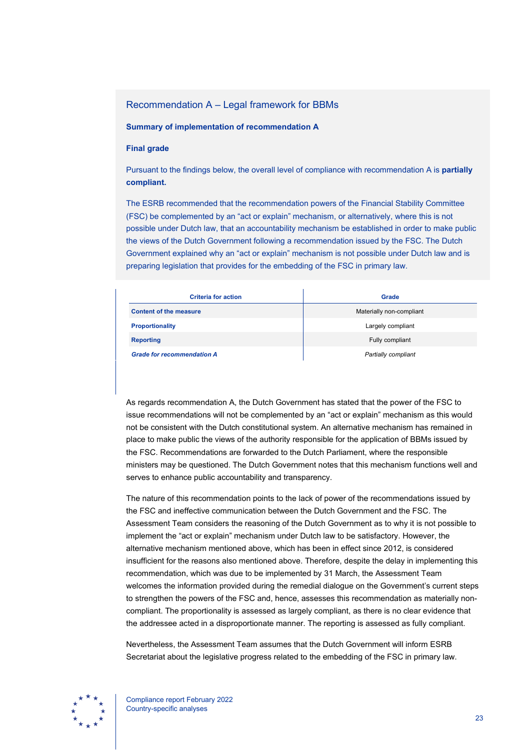### Recommendation A – Legal framework for BBMs

#### **Summary of implementation of recommendation A**

#### **Final grade**

Pursuant to the findings below, the overall level of compliance with recommendation A is **partially compliant.**

The ESRB recommended that the recommendation powers of the Financial Stability Committee (FSC) be complemented by an "act or explain" mechanism, or alternatively, where this is not possible under Dutch law, that an accountability mechanism be established in order to make public the views of the Dutch Government following a recommendation issued by the FSC. The Dutch Government explained why an "act or explain" mechanism is not possible under Dutch law and is preparing legislation that provides for the embedding of the FSC in primary law.

| <b>Criteria for action</b>        | Grade                    |
|-----------------------------------|--------------------------|
| <b>Content of the measure</b>     | Materially non-compliant |
| <b>Proportionality</b>            | Largely compliant        |
| <b>Reporting</b>                  | Fully compliant          |
| <b>Grade for recommendation A</b> | Partially compliant      |

As regards recommendation A, the Dutch Government has stated that the power of the FSC to issue recommendations will not be complemented by an "act or explain" mechanism as this would not be consistent with the Dutch constitutional system. An alternative mechanism has remained in place to make public the views of the authority responsible for the application of BBMs issued by the FSC. Recommendations are forwarded to the Dutch Parliament, where the responsible ministers may be questioned. The Dutch Government notes that this mechanism functions well and serves to enhance public accountability and transparency.

The nature of this recommendation points to the lack of power of the recommendations issued by the FSC and ineffective communication between the Dutch Government and the FSC. The Assessment Team considers the reasoning of the Dutch Government as to why it is not possible to implement the "act or explain" mechanism under Dutch law to be satisfactory. However, the alternative mechanism mentioned above, which has been in effect since 2012, is considered insufficient for the reasons also mentioned above. Therefore, despite the delay in implementing this recommendation, which was due to be implemented by 31 March, the Assessment Team welcomes the information provided during the remedial dialogue on the Government's current steps to strengthen the powers of the FSC and, hence, assesses this recommendation as materially noncompliant. The proportionality is assessed as largely compliant, as there is no clear evidence that the addressee acted in a disproportionate manner. The reporting is assessed as fully compliant.

Nevertheless, the Assessment Team assumes that the Dutch Government will inform ESRB Secretariat about the legislative progress related to the embedding of the FSC in primary law.

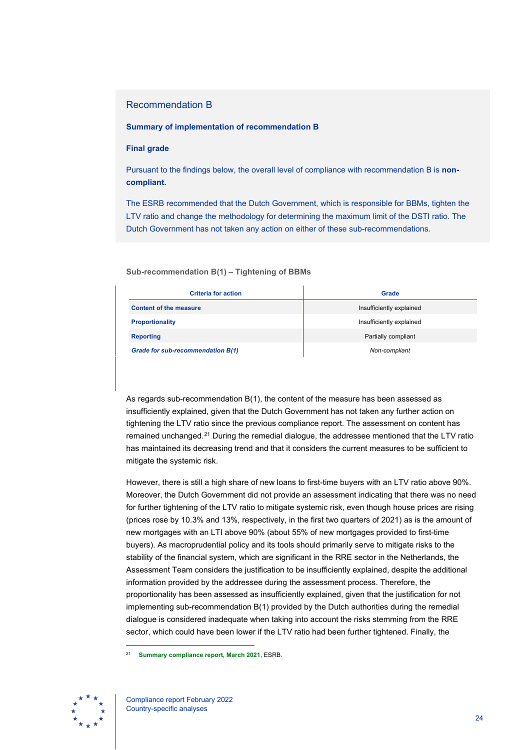### Recommendation B

#### **Summary of implementation of recommendation B**

#### **Final grade**

Pursuant to the findings below, the overall level of compliance with recommendation B is **noncompliant.**

The ESRB recommended that the Dutch Government, which is responsible for BBMs, tighten the LTV ratio and change the methodology for determining the maximum limit of the DSTI ratio. The Dutch Government has not taken any action on either of these sub-recommendations.

#### **Sub-recommendation B(1) – Tightening of BBMs**

| <b>Criteria for action</b>        | Grade                    |
|-----------------------------------|--------------------------|
| <b>Content of the measure</b>     | Insufficiently explained |
| <b>Proportionality</b>            | Insufficiently explained |
| <b>Reporting</b>                  | Partially compliant      |
| Grade for sub-recommendation B(1) | Non-compliant            |

As regards sub-recommendation B(1), the content of the measure has been assessed as insufficiently explained, given that the Dutch Government has not taken any further action on tightening the LTV ratio since the previous compliance report. The assessment on content has remained unchanged.[21](#page-24-0) During the remedial dialogue, the addressee mentioned that the LTV ratio has maintained its decreasing trend and that it considers the current measures to be sufficient to mitigate the systemic risk.

However, there is still a high share of new loans to first-time buyers with an LTV ratio above 90%. Moreover, the Dutch Government did not provide an assessment indicating that there was no need for further tightening of the LTV ratio to mitigate systemic risk, even though house prices are rising (prices rose by 10.3% and 13%, respectively, in the first two quarters of 2021) as is the amount of new mortgages with an LTI above 90% (about 55% of new mortgages provided to first-time buyers). As macroprudential policy and its tools should primarily serve to mitigate risks to the stability of the financial system, which are significant in the RRE sector in the Netherlands, the Assessment Team considers the justification to be insufficiently explained, despite the additional information provided by the addressee during the assessment process. Therefore, the proportionality has been assessed as insufficiently explained, given that the justification for not implementing sub-recommendation B(1) provided by the Dutch authorities during the remedial dialogue is considered inadequate when taking into account the risks stemming from the RRE sector, which could have been lower if the LTV ratio had been further tightened. Finally, the

<span id="page-24-0"></span><sup>21</sup> **[Summary compliance report, March 2021](https://www.esrb.europa.eu/pub/pdf/recommendations/esrb.202108.summary_compliance_report_rre_recommendations%7E5647b809a7.en.pdf)**, ESRB.

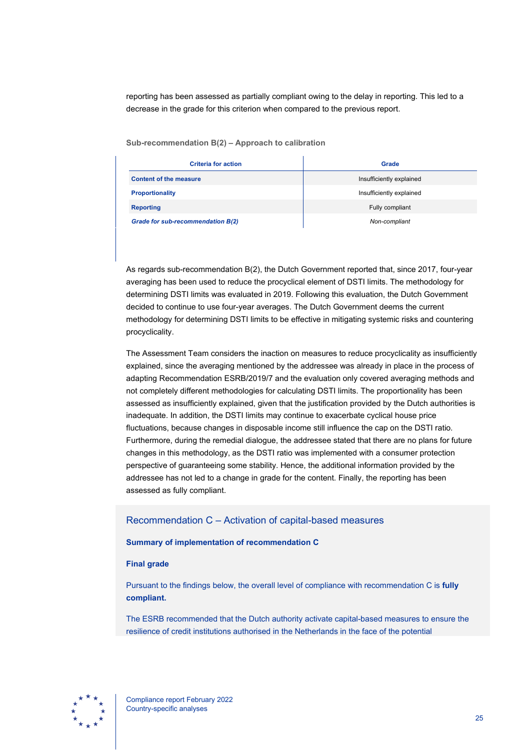reporting has been assessed as partially compliant owing to the delay in reporting. This led to a decrease in the grade for this criterion when compared to the previous report.

**Sub-recommendation B(2) – Approach to calibration**

| <b>Criteria for action</b>        | <b>Grade</b>             |
|-----------------------------------|--------------------------|
| <b>Content of the measure</b>     | Insufficiently explained |
| <b>Proportionality</b>            | Insufficiently explained |
| <b>Reporting</b>                  | Fully compliant          |
| Grade for sub-recommendation B(2) | Non-compliant            |

As regards sub-recommendation B(2), the Dutch Government reported that, since 2017, four-year averaging has been used to reduce the procyclical element of DSTI limits. The methodology for determining DSTI limits was evaluated in 2019. Following this evaluation, the Dutch Government decided to continue to use four-year averages. The Dutch Government deems the current methodology for determining DSTI limits to be effective in mitigating systemic risks and countering procyclicality.

The Assessment Team considers the inaction on measures to reduce procyclicality as insufficiently explained, since the averaging mentioned by the addressee was already in place in the process of adapting Recommendation ESRB/2019/7 and the evaluation only covered averaging methods and not completely different methodologies for calculating DSTI limits. The proportionality has been assessed as insufficiently explained, given that the justification provided by the Dutch authorities is inadequate. In addition, the DSTI limits may continue to exacerbate cyclical house price fluctuations, because changes in disposable income still influence the cap on the DSTI ratio. Furthermore, during the remedial dialogue, the addressee stated that there are no plans for future changes in this methodology, as the DSTI ratio was implemented with a consumer protection perspective of guaranteeing some stability. Hence, the additional information provided by the addressee has not led to a change in grade for the content. Finally, the reporting has been assessed as fully compliant.

### Recommendation C – Activation of capital-based measures

#### **Summary of implementation of recommendation C**

#### **Final grade**

Pursuant to the findings below, the overall level of compliance with recommendation C is **fully compliant.**

The ESRB recommended that the Dutch authority activate capital-based measures to ensure the resilience of credit institutions authorised in the Netherlands in the face of the potential

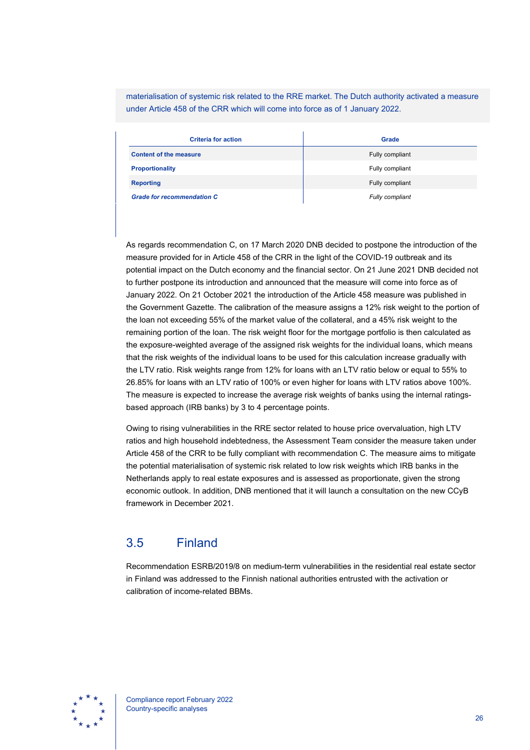materialisation of systemic risk related to the RRE market. The Dutch authority activated a measure under Article 458 of the CRR which will come into force as of 1 January 2022.

| <b>Criteria for action</b>        | Grade           |
|-----------------------------------|-----------------|
| <b>Content of the measure</b>     | Fully compliant |
| <b>Proportionality</b>            | Fully compliant |
| <b>Reporting</b>                  | Fully compliant |
| <b>Grade for recommendation C</b> | Fully compliant |

As regards recommendation C, on 17 March 2020 DNB decided to postpone the introduction of the measure provided for in Article 458 of the CRR in the light of the COVID-19 outbreak and its potential impact on the Dutch economy and the financial sector. On 21 June 2021 DNB decided not to further postpone its introduction and announced that the measure will come into force as of January 2022. On 21 October 2021 the introduction of the Article 458 measure was published in the Government Gazette. The calibration of the measure assigns a 12% risk weight to the portion of the loan not exceeding 55% of the market value of the collateral, and a 45% risk weight to the remaining portion of the loan. The risk weight floor for the mortgage portfolio is then calculated as the exposure-weighted average of the assigned risk weights for the individual loans, which means that the risk weights of the individual loans to be used for this calculation increase gradually with the LTV ratio. Risk weights range from 12% for loans with an LTV ratio below or equal to 55% to 26.85% for loans with an LTV ratio of 100% or even higher for loans with LTV ratios above 100%. The measure is expected to increase the average risk weights of banks using the internal ratingsbased approach (IRB banks) by 3 to 4 percentage points.

Owing to rising vulnerabilities in the RRE sector related to house price overvaluation, high LTV ratios and high household indebtedness, the Assessment Team consider the measure taken under Article 458 of the CRR to be fully compliant with recommendation C. The measure aims to mitigate the potential materialisation of systemic risk related to low risk weights which IRB banks in the Netherlands apply to real estate exposures and is assessed as proportionate, given the strong economic outlook. In addition, DNB mentioned that it will launch a consultation on the new CCyB framework in December 2021.

## <span id="page-26-0"></span>3.5 Finland

Recommendation ESRB/2019/8 on medium-term vulnerabilities in the residential real estate sector in Finland was addressed to the Finnish national authorities entrusted with the activation or calibration of income-related BBMs.

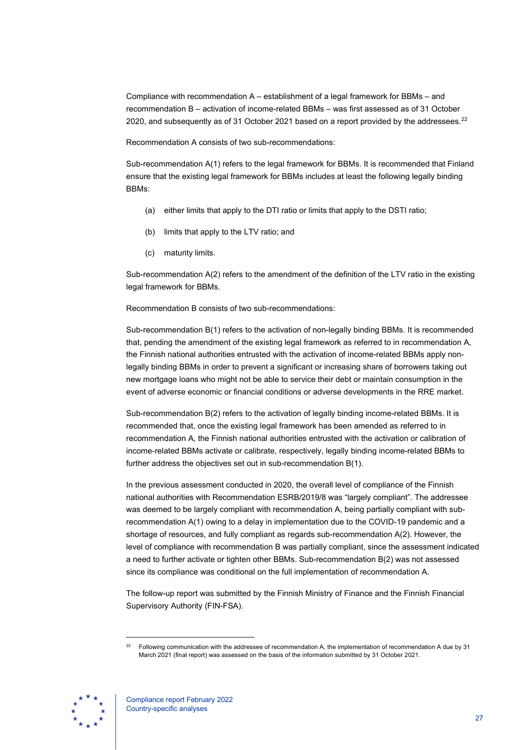Compliance with recommendation A – establishment of a legal framework for BBMs – and recommendation B – activation of income-related BBMs – was first assessed as of 31 October 2020, and subsequently as of 31 October 2021 based on a report provided by the addressees.<sup>[22](#page-27-0)</sup>

Recommendation A consists of two sub-recommendations:

Sub-recommendation A(1) refers to the legal framework for BBMs. It is recommended that Finland ensure that the existing legal framework for BBMs includes at least the following legally binding BBMs:

- (a) either limits that apply to the DTI ratio or limits that apply to the DSTI ratio;
- (b) limits that apply to the LTV ratio; and
- (c) maturity limits.

Sub-recommendation A(2) refers to the amendment of the definition of the LTV ratio in the existing legal framework for BBMs.

Recommendation B consists of two sub-recommendations:

Sub-recommendation B(1) refers to the activation of non-legally binding BBMs. It is recommended that, pending the amendment of the existing legal framework as referred to in recommendation A, the Finnish national authorities entrusted with the activation of income-related BBMs apply nonlegally binding BBMs in order to prevent a significant or increasing share of borrowers taking out new mortgage loans who might not be able to service their debt or maintain consumption in the event of adverse economic or financial conditions or adverse developments in the RRE market.

Sub-recommendation B(2) refers to the activation of legally binding income-related BBMs. It is recommended that, once the existing legal framework has been amended as referred to in recommendation A, the Finnish national authorities entrusted with the activation or calibration of income-related BBMs activate or calibrate, respectively, legally binding income-related BBMs to further address the objectives set out in sub-recommendation B(1).

In the previous assessment conducted in 2020, the overall level of compliance of the Finnish national authorities with Recommendation ESRB/2019/8 was "largely compliant". The addressee was deemed to be largely compliant with recommendation A, being partially compliant with subrecommendation A(1) owing to a delay in implementation due to the COVID-19 pandemic and a shortage of resources, and fully compliant as regards sub-recommendation A(2). However, the level of compliance with recommendation B was partially compliant, since the assessment indicated a need to further activate or tighten other BBMs. Sub-recommendation B(2) was not assessed since its compliance was conditional on the full implementation of recommendation A.

The follow-up report was submitted by the Finnish Ministry of Finance and the Finnish Financial Supervisory Authority (FIN-FSA).

<span id="page-27-0"></span><sup>&</sup>lt;sup>22</sup> Following communication with the addressee of recommendation A, the implementation of recommendation A due by 31 March 2021 (final report) was assessed on the basis of the information submitted by 31 October 2021.

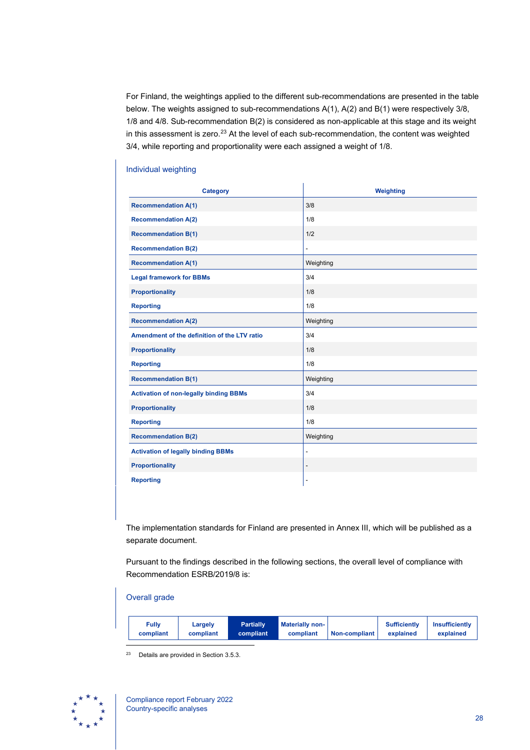For Finland, the weightings applied to the different sub-recommendations are presented in the table below. The weights assigned to sub-recommendations A(1), A(2) and B(1) were respectively 3/8, 1/8 and 4/8. Sub-recommendation B(2) is considered as non-applicable at this stage and its weight in this assessment is zero.<sup>[23](#page-28-0)</sup> At the level of each sub-recommendation, the content was weighted 3/4, while reporting and proportionality were each assigned a weight of 1/8.

## **Category Category Weighting Recommendation A(1)** 3/8 **Recommendation A(2)** 1/8 **Recommendation B(1)** 1/2 **Recommendation B(2) Recommendation A(1)** Neighting Legal framework for BBMs **3/4 Proportionality** 2012 1/8 **Reporting 1/8 Recommendation A(2)** Weighting Amendment of the definition of the LTV ratio  $3/4$ **Proportionality** 2012 1/8 **Reporting 2018 1/8 Recommendation B(1)** Neighting Activation of non-legally binding BBMs 3/4 **Proportionality** 1/8 **Reporting 2018 1/8 2019 12:00 12:00 12:00 12:00 12:00 12:00 12:00 12:00 12:00 12:00 12:00 12:00 12:00 12:00 12:00 12:00 12:00 12:00 12:00 12:00 12:00 12:00 12:00 12:00 12:00 12:00 12:00 12:00 12:00 12:00 12:00 12:00 12:00 Recommendation B(2)** Weighting **Activation of legally binding BBMs Proportionality Reporting**

#### Individual weighting

The implementation standards for Finland are presented in Annex III, which will be published as a separate document.

Pursuant to the findings described in the following sections, the overall level of compliance with Recommendation ESRB/2019/8 is:

#### Overall grade

| Fully<br>compliant | <b>Partially</b><br>Largely<br><b>compliant</b><br>compliant | <b>Materially non-</b><br>compliant | <b>Non-compliant</b> | <b>Sufficiently</b><br>explained | Insufficiently<br>explained |
|--------------------|--------------------------------------------------------------|-------------------------------------|----------------------|----------------------------------|-----------------------------|
|--------------------|--------------------------------------------------------------|-------------------------------------|----------------------|----------------------------------|-----------------------------|

<sup>23</sup> Details are provided in Section 3.5.3.

<span id="page-28-0"></span>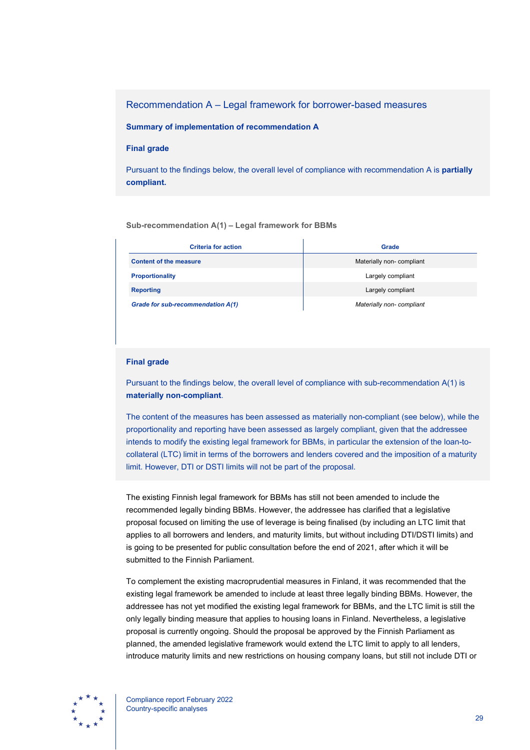Recommendation A – Legal framework for borrower-based measures

**Summary of implementation of recommendation A**

#### **Final grade**

Pursuant to the findings below, the overall level of compliance with recommendation A is **partially compliant.**

#### **Sub-recommendation A(1) – Legal framework for BBMs**

| <b>Criteria for action</b>        | Grade                    |
|-----------------------------------|--------------------------|
| <b>Content of the measure</b>     | Materially non-compliant |
| <b>Proportionality</b>            | Largely compliant        |
| <b>Reporting</b>                  | Largely compliant        |
| Grade for sub-recommendation A(1) | Materially non-compliant |

#### **Final grade**

Pursuant to the findings below, the overall level of compliance with sub-recommendation A(1) is **materially non-compliant**.

The content of the measures has been assessed as materially non-compliant (see below), while the proportionality and reporting have been assessed as largely compliant, given that the addressee intends to modify the existing legal framework for BBMs, in particular the extension of the loan-tocollateral (LTC) limit in terms of the borrowers and lenders covered and the imposition of a maturity limit. However, DTI or DSTI limits will not be part of the proposal.

The existing Finnish legal framework for BBMs has still not been amended to include the recommended legally binding BBMs. However, the addressee has clarified that a legislative proposal focused on limiting the use of leverage is being finalised (by including an LTC limit that applies to all borrowers and lenders, and maturity limits, but without including DTI/DSTI limits) and is going to be presented for public consultation before the end of 2021, after which it will be submitted to the Finnish Parliament.

To complement the existing macroprudential measures in Finland, it was recommended that the existing legal framework be amended to include at least three legally binding BBMs. However, the addressee has not yet modified the existing legal framework for BBMs, and the LTC limit is still the only legally binding measure that applies to housing loans in Finland. Nevertheless, a legislative proposal is currently ongoing. Should the proposal be approved by the Finnish Parliament as planned, the amended legislative framework would extend the LTC limit to apply to all lenders, introduce maturity limits and new restrictions on housing company loans, but still not include DTI or

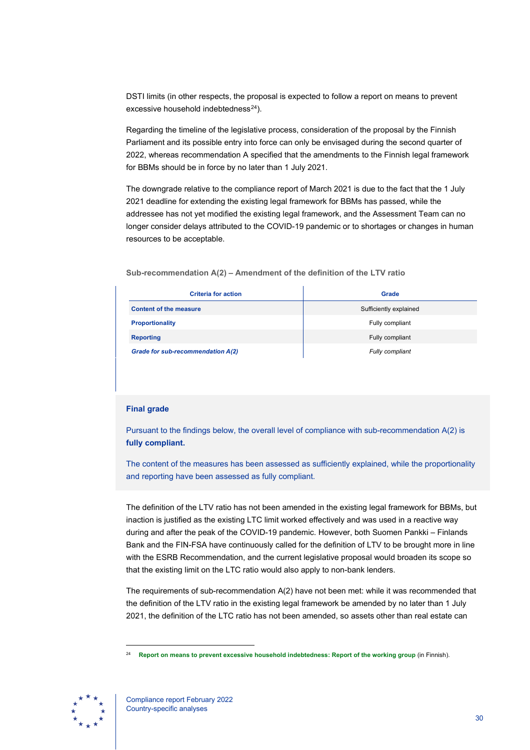DSTI limits (in other respects, the proposal is expected to follow a report on means to prevent excessive household indebtedness $^{24}$ ).

Regarding the timeline of the legislative process, consideration of the proposal by the Finnish Parliament and its possible entry into force can only be envisaged during the second quarter of 2022, whereas recommendation A specified that the amendments to the Finnish legal framework for BBMs should be in force by no later than 1 July 2021.

The downgrade relative to the compliance report of March 2021 is due to the fact that the 1 July 2021 deadline for extending the existing legal framework for BBMs has passed, while the addressee has not yet modified the existing legal framework, and the Assessment Team can no longer consider delays attributed to the COVID-19 pandemic or to shortages or changes in human resources to be acceptable.

**Sub-recommendation A(2) – Amendment of the definition of the LTV ratio**

| <b>Criteria for action</b>        | <b>Grade</b>           |
|-----------------------------------|------------------------|
| <b>Content of the measure</b>     | Sufficiently explained |
| <b>Proportionality</b>            | Fully compliant        |
| <b>Reporting</b>                  | Fully compliant        |
| Grade for sub-recommendation A(2) | Fully compliant        |

#### **Final grade**

Pursuant to the findings below, the overall level of compliance with sub-recommendation A(2) is **fully compliant.**

The content of the measures has been assessed as sufficiently explained, while the proportionality and reporting have been assessed as fully compliant.

The definition of the LTV ratio has not been amended in the existing legal framework for BBMs, but inaction is justified as the existing LTC limit worked effectively and was used in a reactive way during and after the peak of the COVID-19 pandemic. However, both Suomen Pankki – Finlands Bank and the FIN-FSA have continuously called for the definition of LTV to be brought more in line with the ESRB Recommendation, and the current legislative proposal would broaden its scope so that the existing limit on the LTC ratio would also apply to non-bank lenders.

The requirements of sub-recommendation A(2) have not been met: while it was recommended that the definition of the LTV ratio in the existing legal framework be amended by no later than 1 July 2021, the definition of the LTC ratio has not been amended, so assets other than real estate can

<span id="page-30-0"></span><sup>24</sup> **[Report on means to prevent excessive household indebtedness:](https://julkaisut.valtioneuvosto.fi/handle/10024/161807) Report of the working group** (in Finnish).

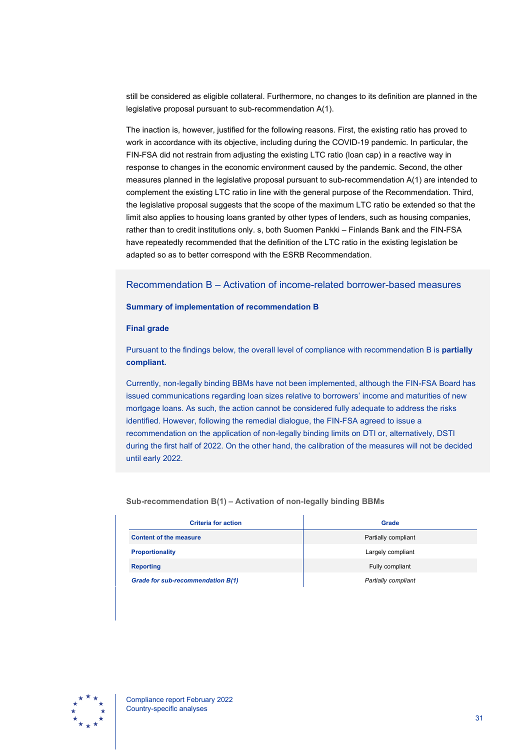still be considered as eligible collateral. Furthermore, no changes to its definition are planned in the legislative proposal pursuant to sub-recommendation A(1).

The inaction is, however, justified for the following reasons. First, the existing ratio has proved to work in accordance with its objective, including during the COVID-19 pandemic. In particular, the FIN-FSA did not restrain from adjusting the existing LTC ratio (loan cap) in a reactive way in response to changes in the economic environment caused by the pandemic. Second, the other measures planned in the legislative proposal pursuant to sub-recommendation A(1) are intended to complement the existing LTC ratio in line with the general purpose of the Recommendation. Third, the legislative proposal suggests that the scope of the maximum LTC ratio be extended so that the limit also applies to housing loans granted by other types of lenders, such as housing companies, rather than to credit institutions only. s, both Suomen Pankki – Finlands Bank and the FIN-FSA have repeatedly recommended that the definition of the LTC ratio in the existing legislation be adapted so as to better correspond with the ESRB Recommendation.

### Recommendation B – Activation of income-related borrower-based measures

#### **Summary of implementation of recommendation B**

#### **Final grade**

Pursuant to the findings below, the overall level of compliance with recommendation B is **partially compliant.**

Currently, non-legally binding BBMs have not been implemented, although the FIN-FSA Board has issued communications regarding loan sizes relative to borrowers' income and maturities of new mortgage loans. As such, the action cannot be considered fully adequate to address the risks identified. However, following the remedial dialogue, the FIN-FSA agreed to issue a recommendation on the application of non-legally binding limits on DTI or, alternatively, DSTI during the first half of 2022. On the other hand, the calibration of the measures will not be decided until early 2022.

#### **Sub-recommendation B(1) – Activation of non-legally binding BBMs**

| <b>Criteria for action</b>        | Grade               |
|-----------------------------------|---------------------|
| <b>Content of the measure</b>     | Partially compliant |
| <b>Proportionality</b>            | Largely compliant   |
| <b>Reporting</b>                  | Fully compliant     |
| Grade for sub-recommendation B(1) | Partially compliant |

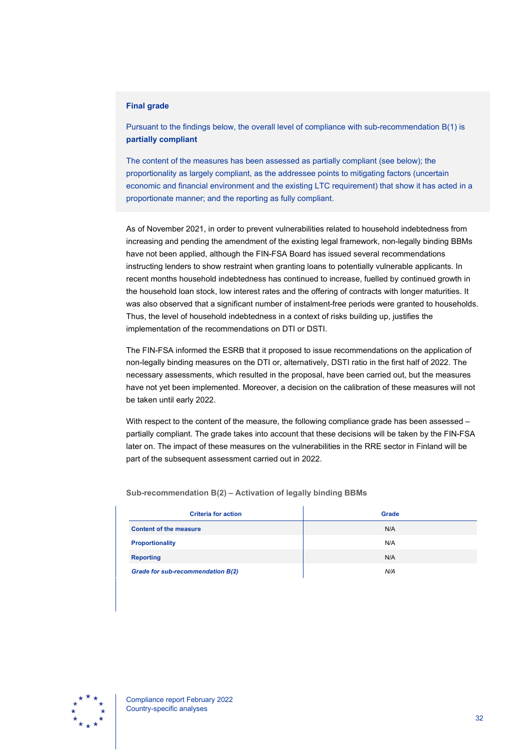#### **Final grade**

Pursuant to the findings below, the overall level of compliance with sub-recommendation B(1) is **partially compliant**

The content of the measures has been assessed as partially compliant (see below); the proportionality as largely compliant, as the addressee points to mitigating factors (uncertain economic and financial environment and the existing LTC requirement) that show it has acted in a proportionate manner; and the reporting as fully compliant.

As of November 2021, in order to prevent vulnerabilities related to household indebtedness from increasing and pending the amendment of the existing legal framework, non-legally binding BBMs have not been applied, although the FIN-FSA Board has issued several recommendations instructing lenders to show restraint when granting loans to potentially vulnerable applicants. In recent months household indebtedness has continued to increase, fuelled by continued growth in the household loan stock, low interest rates and the offering of contracts with longer maturities. It was also observed that a significant number of instalment-free periods were granted to households. Thus, the level of household indebtedness in a context of risks building up, justifies the implementation of the recommendations on DTI or DSTI.

The FIN-FSA informed the ESRB that it proposed to issue recommendations on the application of non-legally binding measures on the DTI or, alternatively, DSTI ratio in the first half of 2022. The necessary assessments, which resulted in the proposal, have been carried out, but the measures have not yet been implemented. Moreover, a decision on the calibration of these measures will not be taken until early 2022.

With respect to the content of the measure, the following compliance grade has been assessed partially compliant. The grade takes into account that these decisions will be taken by the FIN-FSA later on. The impact of these measures on the vulnerabilities in the RRE sector in Finland will be part of the subsequent assessment carried out in 2022.

| <b>Criteria for action</b>        | <b>Grade</b> |
|-----------------------------------|--------------|
| <b>Content of the measure</b>     | N/A          |
| <b>Proportionality</b>            | N/A          |
| <b>Reporting</b>                  | N/A          |
| Grade for sub-recommendation B(2) | N/A          |

**Sub-recommendation B(2) – Activation of legally binding BBMs**

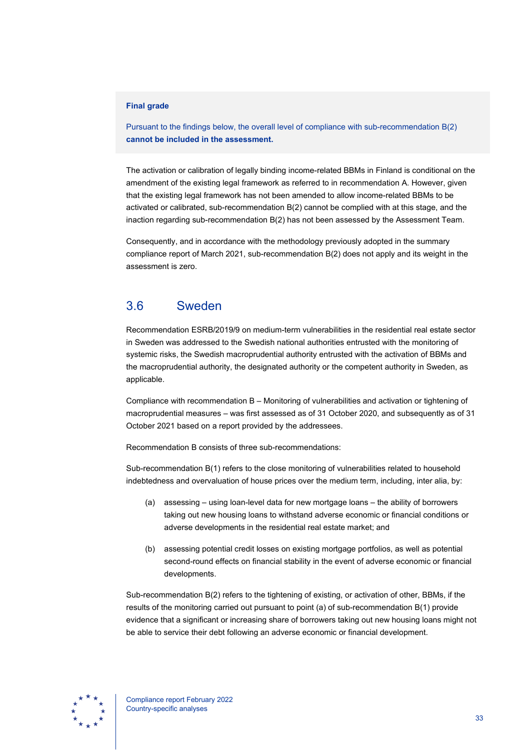#### **Final grade**

Pursuant to the findings below, the overall level of compliance with sub-recommendation B(2) **cannot be included in the assessment.**

The activation or calibration of legally binding income-related BBMs in Finland is conditional on the amendment of the existing legal framework as referred to in recommendation A. However, given that the existing legal framework has not been amended to allow income-related BBMs to be activated or calibrated, sub-recommendation B(2) cannot be complied with at this stage, and the inaction regarding sub-recommendation B(2) has not been assessed by the Assessment Team.

Consequently, and in accordance with the methodology previously adopted in the summary compliance report of March 2021, sub-recommendation B(2) does not apply and its weight in the assessment is zero.

## <span id="page-33-0"></span>3.6 Sweden

Recommendation ESRB/2019/9 on medium-term vulnerabilities in the residential real estate sector in Sweden was addressed to the Swedish national authorities entrusted with the monitoring of systemic risks, the Swedish macroprudential authority entrusted with the activation of BBMs and the macroprudential authority, the designated authority or the competent authority in Sweden, as applicable.

Compliance with recommendation B – Monitoring of vulnerabilities and activation or tightening of macroprudential measures – was first assessed as of 31 October 2020, and subsequently as of 31 October 2021 based on a report provided by the addressees.

Recommendation B consists of three sub-recommendations:

Sub-recommendation B(1) refers to the close monitoring of vulnerabilities related to household indebtedness and overvaluation of house prices over the medium term, including, inter alia, by:

- (a) assessing using loan-level data for new mortgage loans the ability of borrowers taking out new housing loans to withstand adverse economic or financial conditions or adverse developments in the residential real estate market; and
- (b) assessing potential credit losses on existing mortgage portfolios, as well as potential second-round effects on financial stability in the event of adverse economic or financial developments.

Sub-recommendation B(2) refers to the tightening of existing, or activation of other, BBMs, if the results of the monitoring carried out pursuant to point (a) of sub-recommendation B(1) provide evidence that a significant or increasing share of borrowers taking out new housing loans might not be able to service their debt following an adverse economic or financial development.

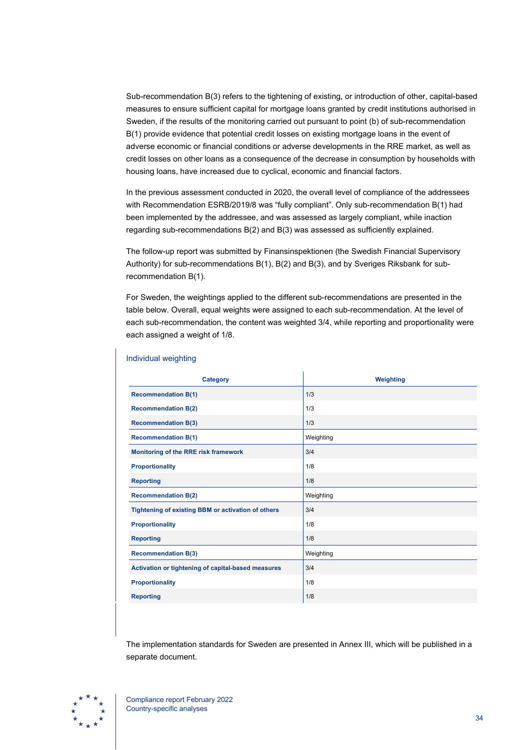Sub-recommendation B(3) refers to the tightening of existing, or introduction of other, capital-based measures to ensure sufficient capital for mortgage loans granted by credit institutions authorised in Sweden, if the results of the monitoring carried out pursuant to point (b) of sub-recommendation B(1) provide evidence that potential credit losses on existing mortgage loans in the event of adverse economic or financial conditions or adverse developments in the RRE market, as well as credit losses on other loans as a consequence of the decrease in consumption by households with housing loans, have increased due to cyclical, economic and financial factors.

In the previous assessment conducted in 2020, the overall level of compliance of the addressees with Recommendation ESRB/2019/8 was "fully compliant". Only sub-recommendation B(1) had been implemented by the addressee, and was assessed as largely compliant, while inaction regarding sub-recommendations B(2) and B(3) was assessed as sufficiently explained.

The follow-up report was submitted by Finansinspektionen (the Swedish Financial Supervisory Authority) for sub-recommendations B(1), B(2) and B(3), and by Sveriges Riksbank for subrecommendation B(1).

For Sweden, the weightings applied to the different sub-recommendations are presented in the table below. Overall, equal weights were assigned to each sub-recommendation. At the level of each sub-recommendation, the content was weighted 3/4, while reporting and proportionality were each assigned a weight of 1/8.

| <b>Category</b>                                    | <b>Weighting</b> |
|----------------------------------------------------|------------------|
| <b>Recommendation B(1)</b>                         | 1/3              |
| <b>Recommendation B(2)</b>                         | 1/3              |
| <b>Recommendation B(3)</b>                         | 1/3              |
| <b>Recommendation B(1)</b>                         | Weighting        |
| Monitoring of the RRE risk framework               | 3/4              |
| <b>Proportionality</b>                             | 1/8              |
| <b>Reporting</b>                                   | 1/8              |
| <b>Recommendation B(2)</b>                         | Weighting        |
| Tightening of existing BBM or activation of others | 3/4              |
| <b>Proportionality</b>                             | 1/8              |
| <b>Reporting</b>                                   | 1/8              |
| <b>Recommendation B(3)</b>                         | Weighting        |
| Activation or tightening of capital-based measures | 3/4              |
| <b>Proportionality</b>                             | 1/8              |
| <b>Reporting</b>                                   | 1/8              |

#### Individual weighting

The implementation standards for Sweden are presented in Annex III, which will be published in a separate document.

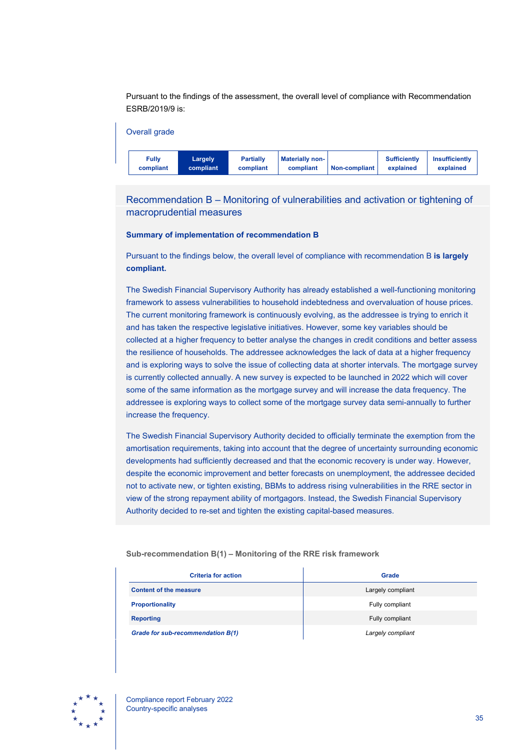Pursuant to the findings of the assessment, the overall level of compliance with Recommendation ESRB/2019/9 is:



Recommendation B – Monitoring of vulnerabilities and activation or tightening of macroprudential measures

#### **Summary of implementation of recommendation B**

Pursuant to the findings below, the overall level of compliance with recommendation B **is largely compliant.**

The Swedish Financial Supervisory Authority has already established a well-functioning monitoring framework to assess vulnerabilities to household indebtedness and overvaluation of house prices. The current monitoring framework is continuously evolving, as the addressee is trying to enrich it and has taken the respective legislative initiatives. However, some key variables should be collected at a higher frequency to better analyse the changes in credit conditions and better assess the resilience of households. The addressee acknowledges the lack of data at a higher frequency and is exploring ways to solve the issue of collecting data at shorter intervals. The mortgage survey is currently collected annually. A new survey is expected to be launched in 2022 which will cover some of the same information as the mortgage survey and will increase the data frequency. The addressee is exploring ways to collect some of the mortgage survey data semi-annually to further increase the frequency.

The Swedish Financial Supervisory Authority decided to officially terminate the exemption from the amortisation requirements, taking into account that the degree of uncertainty surrounding economic developments had sufficiently decreased and that the economic recovery is under way. However, despite the economic improvement and better forecasts on unemployment, the addressee decided not to activate new, or tighten existing, BBMs to address rising vulnerabilities in the RRE sector in view of the strong repayment ability of mortgagors. Instead, the Swedish Financial Supervisory Authority decided to re-set and tighten the existing capital-based measures.

| <b>Criteria for action</b>        | Grade             |
|-----------------------------------|-------------------|
| <b>Content of the measure</b>     | Largely compliant |
| <b>Proportionality</b>            | Fully compliant   |
| <b>Reporting</b>                  | Fully compliant   |
| Grade for sub-recommendation B(1) | Largely compliant |

**Sub-recommendation B(1) – Monitoring of the RRE risk framework**

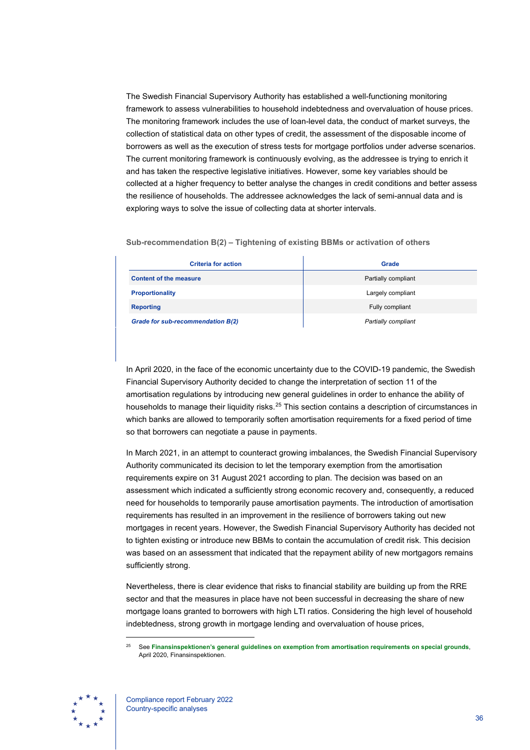The Swedish Financial Supervisory Authority has established a well-functioning monitoring framework to assess vulnerabilities to household indebtedness and overvaluation of house prices. The monitoring framework includes the use of loan-level data, the conduct of market surveys, the collection of statistical data on other types of credit, the assessment of the disposable income of borrowers as well as the execution of stress tests for mortgage portfolios under adverse scenarios. The current monitoring framework is continuously evolving, as the addressee is trying to enrich it and has taken the respective legislative initiatives. However, some key variables should be collected at a higher frequency to better analyse the changes in credit conditions and better assess the resilience of households. The addressee acknowledges the lack of semi-annual data and is exploring ways to solve the issue of collecting data at shorter intervals.

**Sub-recommendation B(2) – Tightening of existing BBMs or activation of others**

| <b>Criteria for action</b>        | Grade               |
|-----------------------------------|---------------------|
| <b>Content of the measure</b>     | Partially compliant |
| <b>Proportionality</b>            | Largely compliant   |
| <b>Reporting</b>                  | Fully compliant     |
| Grade for sub-recommendation B(2) | Partially compliant |

In April 2020, in the face of the economic uncertainty due to the COVID-19 pandemic, the Swedish Financial Supervisory Authority decided to change the interpretation of section 11 of the amortisation regulations by introducing new general guidelines in order to enhance the ability of households to manage their liquidity risks.<sup>[25](#page-36-0)</sup> This section contains a description of circumstances in which banks are allowed to temporarily soften amortisation requirements for a fixed period of time so that borrowers can negotiate a pause in payments.

In March 2021, in an attempt to counteract growing imbalances, the Swedish Financial Supervisory Authority communicated its decision to let the temporary exemption from the amortisation requirements expire on 31 August 2021 according to plan. The decision was based on an assessment which indicated a sufficiently strong economic recovery and, consequently, a reduced need for households to temporarily pause amortisation payments. The introduction of amortisation requirements has resulted in an improvement in the resilience of borrowers taking out new mortgages in recent years. However, the Swedish Financial Supervisory Authority has decided not to tighten existing or introduce new BBMs to contain the accumulation of credit risk. This decision was based on an assessment that indicated that the repayment ability of new mortgagors remains sufficiently strong.

Nevertheless, there is clear evidence that risks to financial stability are building up from the RRE sector and that the measures in place have not been successful in decreasing the share of new mortgage loans granted to borrowers with high LTI ratios. Considering the high level of household indebtedness, strong growth in mortgage lending and overvaluation of house prices,

<span id="page-36-0"></span><sup>25</sup> See **[Finansinspektionen's general guidelines on exemption from amortisation requirements on special grounds](https://www.fi.se/contentassets/a454d990de304261913a5396039526e5/fs2003-eng.pdf)**, April 2020, Finansinspektionen.

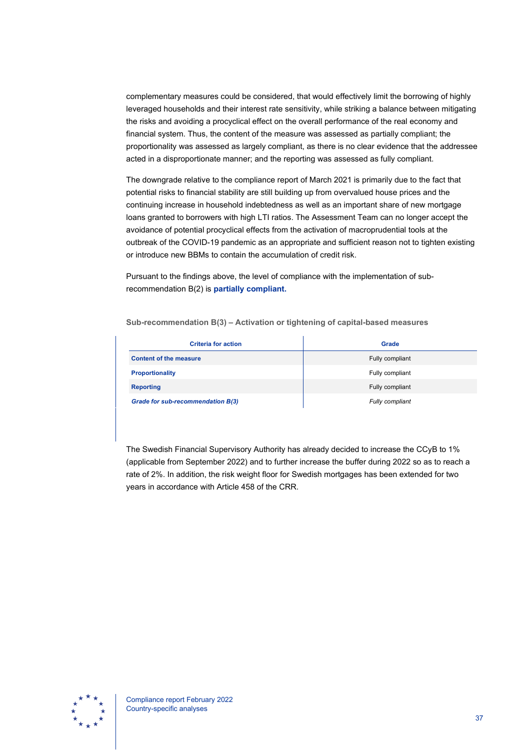complementary measures could be considered, that would effectively limit the borrowing of highly leveraged households and their interest rate sensitivity, while striking a balance between mitigating the risks and avoiding a procyclical effect on the overall performance of the real economy and financial system. Thus, the content of the measure was assessed as partially compliant; the proportionality was assessed as largely compliant, as there is no clear evidence that the addressee acted in a disproportionate manner; and the reporting was assessed as fully compliant.

The downgrade relative to the compliance report of March 2021 is primarily due to the fact that potential risks to financial stability are still building up from overvalued house prices and the continuing increase in household indebtedness as well as an important share of new mortgage loans granted to borrowers with high LTI ratios. The Assessment Team can no longer accept the avoidance of potential procyclical effects from the activation of macroprudential tools at the outbreak of the COVID-19 pandemic as an appropriate and sufficient reason not to tighten existing or introduce new BBMs to contain the accumulation of credit risk.

Pursuant to the findings above, the level of compliance with the implementation of subrecommendation B(2) is **partially compliant.**

**Sub-recommendation B(3) – Activation or tightening of capital-based measures**

| <b>Criteria for action</b>        | Grade           |
|-----------------------------------|-----------------|
| <b>Content of the measure</b>     | Fully compliant |
| <b>Proportionality</b>            | Fully compliant |
| <b>Reporting</b>                  | Fully compliant |
| Grade for sub-recommendation B(3) | Fully compliant |

The Swedish Financial Supervisory Authority has already decided to increase the CCyB to 1% (applicable from September 2022) and to further increase the buffer during 2022 so as to reach a rate of 2%. In addition, the risk weight floor for Swedish mortgages has been extended for two years in accordance with Article 458 of the CRR.

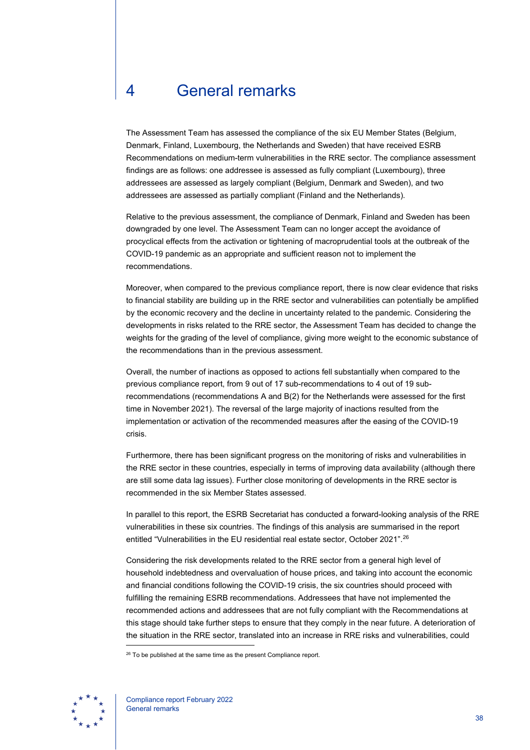# <span id="page-38-0"></span>4 General remarks

The Assessment Team has assessed the compliance of the six EU Member States (Belgium, Denmark, Finland, Luxembourg, the Netherlands and Sweden) that have received ESRB Recommendations on medium-term vulnerabilities in the RRE sector. The compliance assessment findings are as follows: one addressee is assessed as fully compliant (Luxembourg), three addressees are assessed as largely compliant (Belgium, Denmark and Sweden), and two addressees are assessed as partially compliant (Finland and the Netherlands).

Relative to the previous assessment, the compliance of Denmark, Finland and Sweden has been downgraded by one level. The Assessment Team can no longer accept the avoidance of procyclical effects from the activation or tightening of macroprudential tools at the outbreak of the COVID-19 pandemic as an appropriate and sufficient reason not to implement the recommendations.

Moreover, when compared to the previous compliance report, there is now clear evidence that risks to financial stability are building up in the RRE sector and vulnerabilities can potentially be amplified by the economic recovery and the decline in uncertainty related to the pandemic. Considering the developments in risks related to the RRE sector, the Assessment Team has decided to change the weights for the grading of the level of compliance, giving more weight to the economic substance of the recommendations than in the previous assessment.

Overall, the number of inactions as opposed to actions fell substantially when compared to the previous compliance report, from 9 out of 17 sub-recommendations to 4 out of 19 subrecommendations (recommendations A and B(2) for the Netherlands were assessed for the first time in November 2021). The reversal of the large majority of inactions resulted from the implementation or activation of the recommended measures after the easing of the COVID-19 crisis.

Furthermore, there has been significant progress on the monitoring of risks and vulnerabilities in the RRE sector in these countries, especially in terms of improving data availability (although there are still some data lag issues). Further close monitoring of developments in the RRE sector is recommended in the six Member States assessed.

In parallel to this report, the ESRB Secretariat has conducted a forward-looking analysis of the RRE vulnerabilities in these six countries. The findings of this analysis are summarised in the report entitled "Vulnerabilities in the EU residential real estate sector, October 2021"[.26](#page-38-1)

Considering the risk developments related to the RRE sector from a general high level of household indebtedness and overvaluation of house prices, and taking into account the economic and financial conditions following the COVID-19 crisis, the six countries should proceed with fulfilling the remaining ESRB recommendations. Addressees that have not implemented the recommended actions and addressees that are not fully compliant with the Recommendations at this stage should take further steps to ensure that they comply in the near future. A deterioration of the situation in the RRE sector, translated into an increase in RRE risks and vulnerabilities, could

<span id="page-38-1"></span><sup>&</sup>lt;sup>26</sup> To be published at the same time as the present Compliance report.

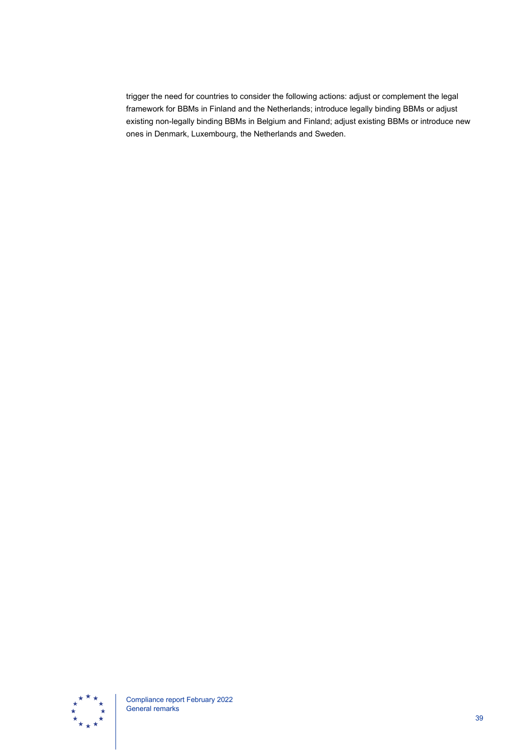trigger the need for countries to consider the following actions: adjust or complement the legal framework for BBMs in Finland and the Netherlands; introduce legally binding BBMs or adjust existing non-legally binding BBMs in Belgium and Finland; adjust existing BBMs or introduce new ones in Denmark, Luxembourg, the Netherlands and Sweden.

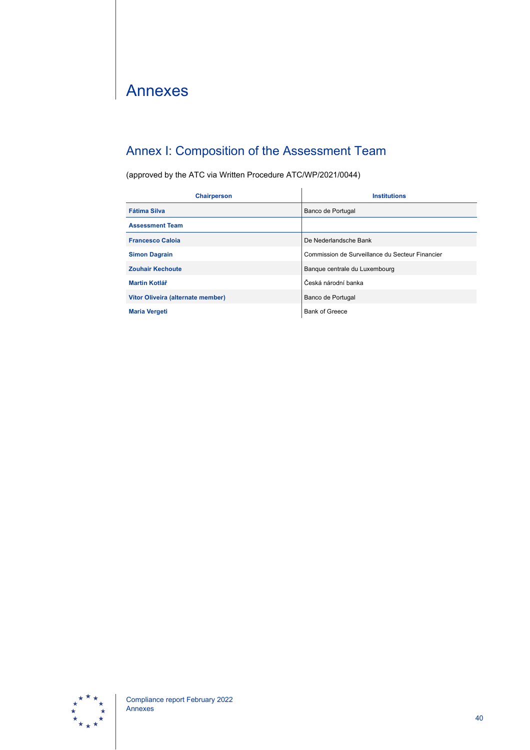# <span id="page-40-0"></span>Annexes

## <span id="page-40-1"></span>Annex I: Composition of the Assessment Team

(approved by the ATC via Written Procedure ATC/WP/2021/0044)

| <b>Chairperson</b>                | <b>Institutions</b>                             |
|-----------------------------------|-------------------------------------------------|
| <b>Fátima Silva</b>               | Banco de Portugal                               |
| <b>Assessment Team</b>            |                                                 |
| <b>Francesco Caloja</b>           | De Nederlandsche Bank                           |
| <b>Simon Dagrain</b>              | Commission de Surveillance du Secteur Financier |
| <b>Zouhair Kechoute</b>           | Banque centrale du Luxembourg                   |
| Martin Kotlář                     | Česká národní banka                             |
| Vítor Oliveira (alternate member) | Banco de Portugal                               |
| <b>Maria Vergeti</b>              | <b>Bank of Greece</b>                           |

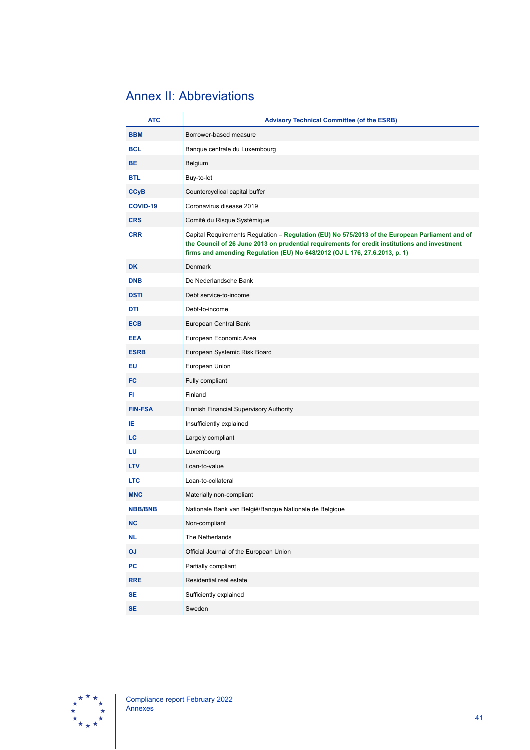## <span id="page-41-0"></span>Annex II: Abbreviations

| <b>ATC</b>      | <b>Advisory Technical Committee (of the ESRB)</b>                                                                                                                                                                                                                              |
|-----------------|--------------------------------------------------------------------------------------------------------------------------------------------------------------------------------------------------------------------------------------------------------------------------------|
| <b>BBM</b>      | Borrower-based measure                                                                                                                                                                                                                                                         |
| <b>BCL</b>      | Banque centrale du Luxembourg                                                                                                                                                                                                                                                  |
| <b>BE</b>       | Belgium                                                                                                                                                                                                                                                                        |
| <b>BTL</b>      | Buy-to-let                                                                                                                                                                                                                                                                     |
| <b>CCyB</b>     | Countercyclical capital buffer                                                                                                                                                                                                                                                 |
| <b>COVID-19</b> | Coronavirus disease 2019                                                                                                                                                                                                                                                       |
| <b>CRS</b>      | Comité du Risque Systémique                                                                                                                                                                                                                                                    |
| <b>CRR</b>      | Capital Requirements Regulation - Regulation (EU) No 575/2013 of the European Parliament and of<br>the Council of 26 June 2013 on prudential requirements for credit institutions and investment<br>firms and amending Regulation (EU) No 648/2012 (OJ L 176, 27.6.2013, p. 1) |
| <b>DK</b>       | <b>Denmark</b>                                                                                                                                                                                                                                                                 |
| <b>DNB</b>      | De Nederlandsche Bank                                                                                                                                                                                                                                                          |
| <b>DSTI</b>     | Debt service-to-income                                                                                                                                                                                                                                                         |
| DTI             | Debt-to-income                                                                                                                                                                                                                                                                 |
| <b>ECB</b>      | European Central Bank                                                                                                                                                                                                                                                          |
| <b>EEA</b>      | European Economic Area                                                                                                                                                                                                                                                         |
| <b>ESRB</b>     | European Systemic Risk Board                                                                                                                                                                                                                                                   |
| EU              | European Union                                                                                                                                                                                                                                                                 |
| FC              | Fully compliant                                                                                                                                                                                                                                                                |
| FI.             | Finland                                                                                                                                                                                                                                                                        |
| <b>FIN-FSA</b>  | Finnish Financial Supervisory Authority                                                                                                                                                                                                                                        |
| ΙE              | Insufficiently explained                                                                                                                                                                                                                                                       |
| LC              | Largely compliant                                                                                                                                                                                                                                                              |
| LU              | Luxembourg                                                                                                                                                                                                                                                                     |
| <b>LTV</b>      | Loan-to-value                                                                                                                                                                                                                                                                  |
| <b>LTC</b>      | Loan-to-collateral                                                                                                                                                                                                                                                             |
| <b>MNC</b>      | Materially non-compliant                                                                                                                                                                                                                                                       |
| <b>NBB/BNB</b>  | Nationale Bank van België/Banque Nationale de Belgique                                                                                                                                                                                                                         |
| <b>NC</b>       | Non-compliant                                                                                                                                                                                                                                                                  |
| <b>NL</b>       | The Netherlands                                                                                                                                                                                                                                                                |
| OJ              | Official Journal of the European Union                                                                                                                                                                                                                                         |
| <b>PC</b>       | Partially compliant                                                                                                                                                                                                                                                            |
| <b>RRE</b>      | Residential real estate                                                                                                                                                                                                                                                        |
| <b>SE</b>       | Sufficiently explained                                                                                                                                                                                                                                                         |
| <b>SE</b>       | Sweden                                                                                                                                                                                                                                                                         |

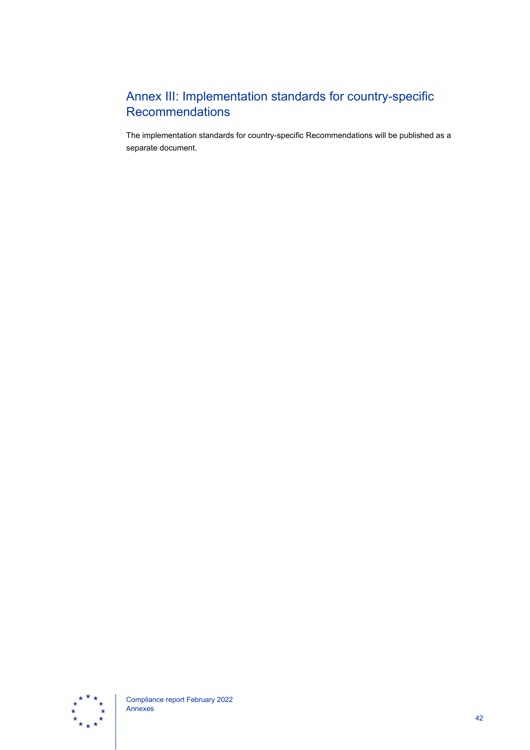## <span id="page-42-0"></span>Annex III: Implementation standards for country-specific **Recommendations**

The implementation standards for country-specific Recommendations will be published as a separate document.